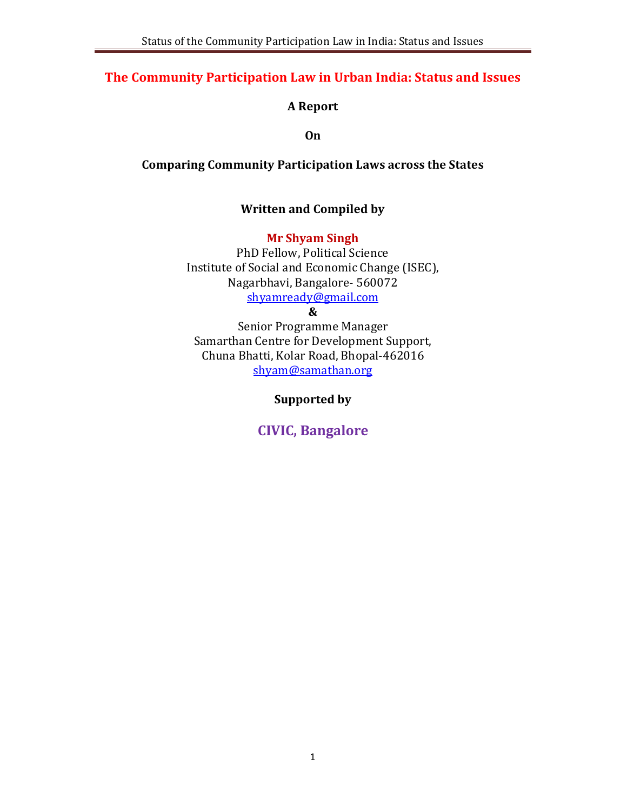# **The Community Participation Law in Urban India: Status and Issues**

# **A Report**

**On**

**Comparing Community Participation Laws across the States**

# **Written and Compiled by**

# **Mr Shyam Singh**

PhD Fellow, Political Science Institute of Social and Economic Change (ISEC), Nagarbhavi, Bangalore- 560072 shyamready@gmail.com

# **&**

Senior Programme Manager Samarthan Centre for Development Support, Chuna Bhatti, Kolar Road, Bhopal-462016 shyam@samathan.org

**Supported by**

**CIVIC, Bangalore**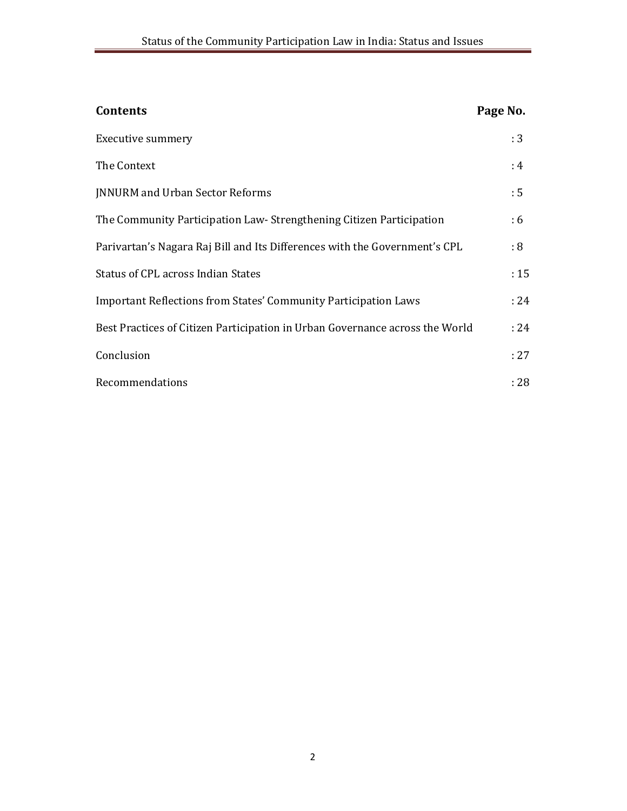| <b>Contents</b>                                                              | Page No. |
|------------------------------------------------------------------------------|----------|
| Executive summery                                                            | :3       |
| The Context                                                                  | :4       |
| <b>JNNURM</b> and Urban Sector Reforms                                       | : 5      |
| The Community Participation Law-Strengthening Citizen Participation          | :6       |
| Parivartan's Nagara Raj Bill and Its Differences with the Government's CPL   | : 8      |
| Status of CPL across Indian States                                           | :15      |
| <b>Important Reflections from States' Community Participation Laws</b>       | : 24     |
| Best Practices of Citizen Participation in Urban Governance across the World | : 24     |
| Conclusion                                                                   | : 27     |
| Recommendations                                                              | : 28     |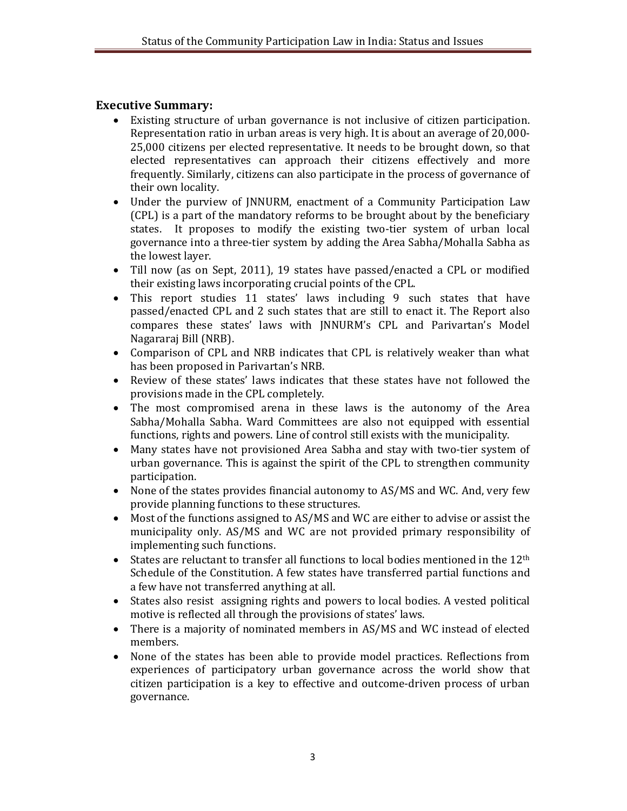### **Executive Summary:**

- Existing structure of urban governance is not inclusive of citizen participation. Representation ratio in urban areas is very high. It is about an average of 20,000- 25,000 citizens per elected representative. It needs to be brought down, so that elected representatives can approach their citizens effectively and more frequently. Similarly, citizens can also participate in the process of governance of their own locality.
- Under the purview of JNNURM, enactment of a Community Participation Law (CPL) is a part of the mandatory reforms to be brought about by the beneficiary states. It proposes to modify the existing two-tier system of urban local governance into a three-tier system by adding the Area Sabha/Mohalla Sabha as the lowest layer.
- Till now (as on Sept, 2011), 19 states have passed/enacted a CPL or modified their existing laws incorporating crucial points of the CPL.
- This report studies 11 states' laws including 9 such states that have passed/enacted CPL and 2 such states that are still to enact it. The Report also compares these states' laws with JNNURM's CPL and Parivartan's Model Nagararaj Bill (NRB).
- Comparison of CPL and NRB indicates that CPL is relatively weaker than what has been proposed in Parivartan's NRB.
- Review of these states' laws indicates that these states have not followed the provisions made in the CPL completely.
- The most compromised arena in these laws is the autonomy of the Area Sabha/Mohalla Sabha. Ward Committees are also not equipped with essential functions, rights and powers. Line of control still exists with the municipality.
- Many states have not provisioned Area Sabha and stay with two-tier system of urban governance. This is against the spirit of the CPL to strengthen community participation.
- None of the states provides financial autonomy to AS/MS and WC. And, very few provide planning functions to these structures.
- Most of the functions assigned to AS/MS and WC are either to advise or assist the municipality only. AS/MS and WC are not provided primary responsibility of implementing such functions.
- $\bullet$  States are reluctant to transfer all functions to local bodies mentioned in the 12<sup>th</sup> Schedule of the Constitution. A few states have transferred partial functions and a few have not transferred anything at all.
- States also resist assigning rights and powers to local bodies. A vested political motive is reflected all through the provisions of states' laws.
- There is a majority of nominated members in AS/MS and WC instead of elected members.
- None of the states has been able to provide model practices. Reflections from experiences of participatory urban governance across the world show that citizen participation is a key to effective and outcome-driven process of urban governance.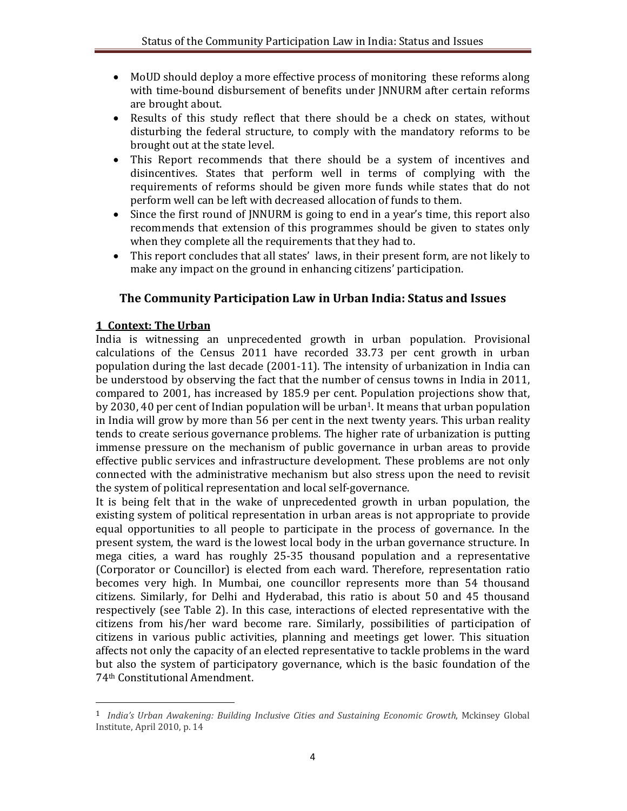- MoUD should deploy a more effective process of monitoring these reforms along with time-bound disbursement of benefits under JNNURM after certain reforms are brought about.
- Results of this study reflect that there should be a check on states, without disturbing the federal structure, to comply with the mandatory reforms to be brought out at the state level.
- This Report recommends that there should be a system of incentives and disincentives. States that perform well in terms of complying with the requirements of reforms should be given more funds while states that do not perform well can be left with decreased allocation of funds to them.
- Since the first round of JNNURM is going to end in a year's time, this report also recommends that extension of this programmes should be given to states only when they complete all the requirements that they had to.
- This report concludes that all states' laws, in their present form, are not likely to make any impact on the ground in enhancing citizens' participation.

# **The Community Participation Law in Urban India: Status and Issues**

#### **1 Context: The Urban**

1

India is witnessing an unprecedented growth in urban population. Provisional calculations of the Census 2011 have recorded 33.73 per cent growth in urban population during the last decade (2001-11). The intensity of urbanization in India can be understood by observing the fact that the number of census towns in India in 2011, compared to 2001, has increased by 185.9 per cent. Population projections show that, by 2030, 40 per cent of Indian population will be urban<sup>1</sup>. It means that urban population in India will grow by more than 56 per cent in the next twenty years. This urban reality tends to create serious governance problems. The higher rate of urbanization is putting immense pressure on the mechanism of public governance in urban areas to provide effective public services and infrastructure development. These problems are not only connected with the administrative mechanism but also stress upon the need to revisit the system of political representation and local self-governance.

It is being felt that in the wake of unprecedented growth in urban population, the existing system of political representation in urban areas is not appropriate to provide equal opportunities to all people to participate in the process of governance. In the present system, the ward is the lowest local body in the urban governance structure. In mega cities, a ward has roughly 25-35 thousand population and a representative (Corporator or Councillor) is elected from each ward. Therefore, representation ratio becomes very high. In Mumbai, one councillor represents more than 54 thousand citizens. Similarly, for Delhi and Hyderabad, this ratio is about 50 and 45 thousand respectively (see Table 2). In this case, interactions of elected representative with the citizens from his/her ward become rare. Similarly, possibilities of participation of citizens in various public activities, planning and meetings get lower. This situation affects not only the capacity of an elected representative to tackle problems in the ward but also the system of participatory governance, which is the basic foundation of the 74th Constitutional Amendment.

<sup>1</sup> *India's Urban Awakening: Building Inclusive Cities and Sustaining Economic Growth*, Mckinsey Global Institute, April 2010, p. 14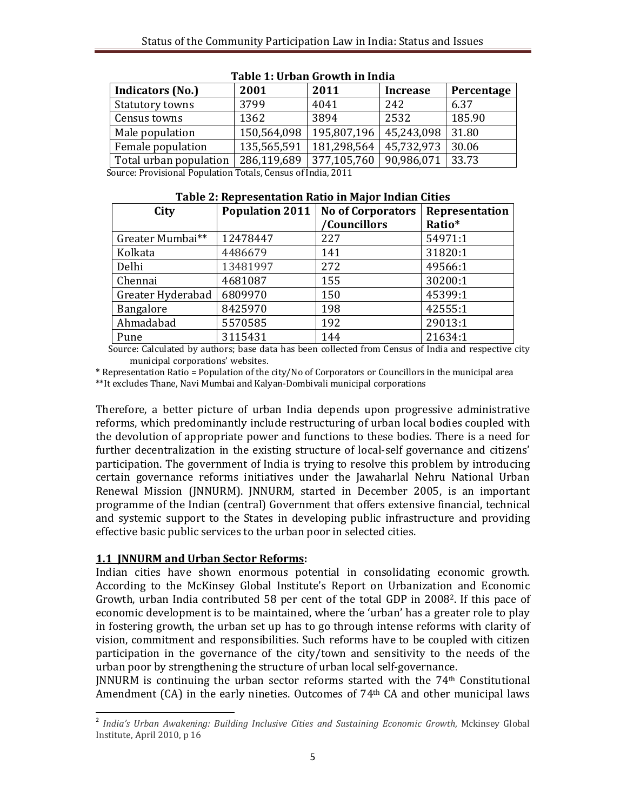| 2001        | 2011        | <b>Increase</b>         | Percentage                                                      |
|-------------|-------------|-------------------------|-----------------------------------------------------------------|
| 3799        | 4041        | 242                     | 6.37                                                            |
| 1362        | 3894        | 2532                    | 185.90                                                          |
| 150,564,098 | 195,807,196 | 45,243,098              | 31.80                                                           |
| 135,565,591 | 181,298,564 | 45,732,973              | 30.06                                                           |
|             |             | 90,986,071              | 33.73                                                           |
|             |             | 286,119,689 377,105,760 | Course, Discriptional Damilation Tetals, Courses of Ludia, 2014 |

| Table 1: Urban Growth in India |  |  |
|--------------------------------|--|--|
|--------------------------------|--|--|

Source: Provisional Population Totals, Census of India, 2011

| City              | <b>Population 2011</b> | <b>No of Corporators</b> | Representation |
|-------------------|------------------------|--------------------------|----------------|
|                   |                        | /Councillors             | Ratio*         |
| Greater Mumbai**  | 12478447               | 227                      | 54971:1        |
| Kolkata           | 4486679                | 141                      | 31820:1        |
| Delhi             | 13481997               | 272                      | 49566:1        |
| Chennai           | 4681087                | 155                      | 30200:1        |
| Greater Hyderabad | 6809970                | 150                      | 45399:1        |
| Bangalore         | 8425970                | 198                      | 42555:1        |
| Ahmadabad         | 5570585                | 192                      | 29013:1        |
| Pune              | 3115431                | 144                      | 21634:1        |

**Table 2: Representation Ratio in Major Indian Cities**

 Source: Calculated by authors; base data has been collected from Census of India and respective city municipal corporations' websites.

\* Representation Ratio = Population of the city/No of Corporators or Councillors in the municipal area \*\*It excludes Thane, Navi Mumbai and Kalyan-Dombivali municipal corporations

Therefore, a better picture of urban India depends upon progressive administrative reforms, which predominantly include restructuring of urban local bodies coupled with the devolution of appropriate power and functions to these bodies. There is a need for further decentralization in the existing structure of local-self governance and citizens' participation. The government of India is trying to resolve this problem by introducing certain governance reforms initiatives under the Jawaharlal Nehru National Urban Renewal Mission (JNNURM). JNNURM, started in December 2005, is an important programme of the Indian (central) Government that offers extensive financial, technical and systemic support to the States in developing public infrastructure and providing effective basic public services to the urban poor in selected cities.

#### **1.1 JNNURM and Urban Sector Reforms:**

Indian cities have shown enormous potential in consolidating economic growth. According to the McKinsey Global Institute's Report on Urbanization and Economic Growth, urban India contributed 58 per cent of the total GDP in 20082. If this pace of economic development is to be maintained, where the 'urban' has a greater role to play in fostering growth, the urban set up has to go through intense reforms with clarity of vision, commitment and responsibilities. Such reforms have to be coupled with citizen participation in the governance of the city/town and sensitivity to the needs of the urban poor by strengthening the structure of urban local self-governance.

JNNURM is continuing the urban sector reforms started with the 74th Constitutional Amendment  $(CA)$  in the early nineties. Outcomes of 74<sup>th</sup>  $CA$  and other municipal laws

**<sup>.</sup>** 2 *India's Urban Awakening: Building Inclusive Cities and Sustaining Economic Growth*, Mckinsey Global Institute, April 2010, p 16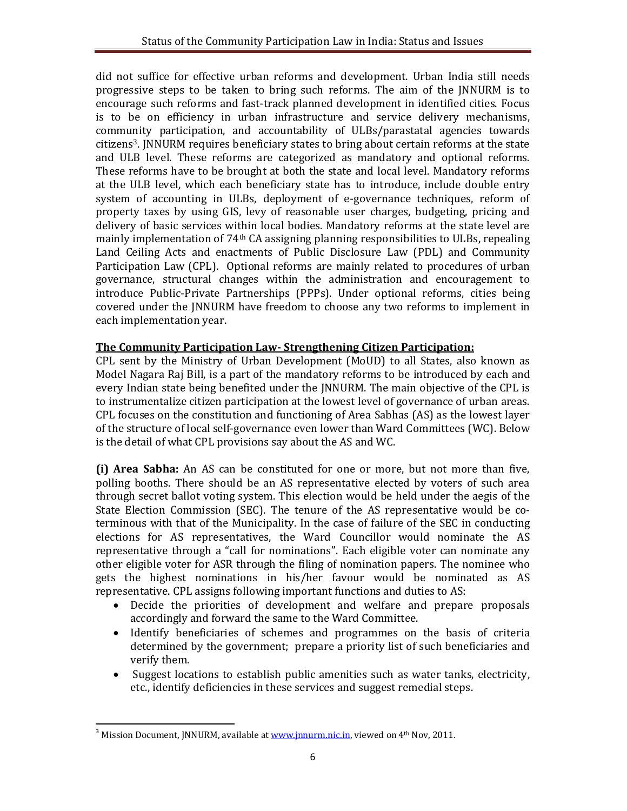did not suffice for effective urban reforms and development. Urban India still needs progressive steps to be taken to bring such reforms. The aim of the JNNURM is to encourage such reforms and fast-track planned development in identified cities. Focus is to be on efficiency in urban infrastructure and service delivery mechanisms, community participation, and accountability of ULBs/parastatal agencies towards citizens<sup>3</sup>. JNNURM requires beneficiary states to bring about certain reforms at the state and ULB level. These reforms are categorized as mandatory and optional reforms. These reforms have to be brought at both the state and local level. Mandatory reforms at the ULB level, which each beneficiary state has to introduce, include double entry system of accounting in ULBs, deployment of e-governance techniques, reform of property taxes by using GIS, levy of reasonable user charges, budgeting, pricing and delivery of basic services within local bodies. Mandatory reforms at the state level are mainly implementation of 74<sup>th</sup> CA assigning planning responsibilities to ULBs, repealing Land Ceiling Acts and enactments of Public Disclosure Law (PDL) and Community Participation Law (CPL). Optional reforms are mainly related to procedures of urban governance, structural changes within the administration and encouragement to introduce Public-Private Partnerships (PPPs). Under optional reforms, cities being covered under the JNNURM have freedom to choose any two reforms to implement in each implementation year.

# **The Community Participation Law- Strengthening Citizen Participation:**

CPL sent by the Ministry of Urban Development (MoUD) to all States, also known as Model Nagara Raj Bill, is a part of the mandatory reforms to be introduced by each and every Indian state being benefited under the JNNURM. The main objective of the CPL is to instrumentalize citizen participation at the lowest level of governance of urban areas. CPL focuses on the constitution and functioning of Area Sabhas (AS) as the lowest layer of the structure of local self-governance even lower than Ward Committees (WC). Below is the detail of what CPL provisions say about the AS and WC.

**(i) Area Sabha:** An AS can be constituted for one or more, but not more than five, polling booths. There should be an AS representative elected by voters of such area through secret ballot voting system. This election would be held under the aegis of the State Election Commission (SEC). The tenure of the AS representative would be coterminous with that of the Municipality. In the case of failure of the SEC in conducting elections for AS representatives, the Ward Councillor would nominate the AS representative through a "call for nominations". Each eligible voter can nominate any other eligible voter for ASR through the filing of nomination papers. The nominee who gets the highest nominations in his/her favour would be nominated as AS representative. CPL assigns following important functions and duties to AS:

- Decide the priorities of development and welfare and prepare proposals accordingly and forward the same to the Ward Committee.
- Identify beneficiaries of schemes and programmes on the basis of criteria determined by the government; prepare a priority list of such beneficiaries and verify them.
- Suggest locations to establish public amenities such as water tanks, electricity, etc., identify deficiencies in these services and suggest remedial steps.

<sup>1</sup> <sup>3</sup> Mission Document, JNNURM, available at <u>www.jnnurm.nic.in</u>, viewed on  $4<sup>th</sup>$  Nov, 2011.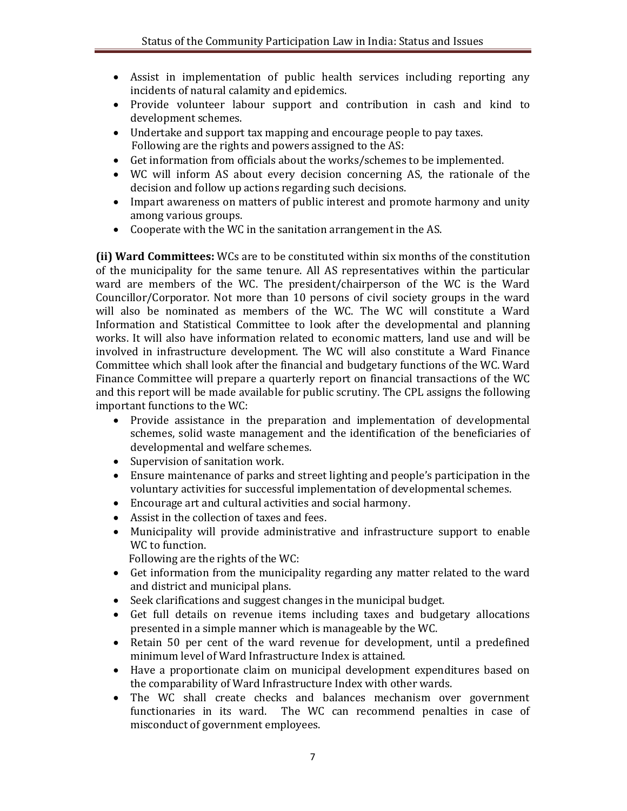- Assist in implementation of public health services including reporting any incidents of natural calamity and epidemics.
- Provide volunteer labour support and contribution in cash and kind to development schemes.
- Undertake and support tax mapping and encourage people to pay taxes. Following are the rights and powers assigned to the AS:
- Get information from officials about the works/schemes to be implemented.
- WC will inform AS about every decision concerning AS, the rationale of the decision and follow up actions regarding such decisions.
- Impart awareness on matters of public interest and promote harmony and unity among various groups.
- Cooperate with the WC in the sanitation arrangement in the AS.

**(ii) Ward Committees:** WCs are to be constituted within six months of the constitution of the municipality for the same tenure. All AS representatives within the particular ward are members of the WC. The president/chairperson of the WC is the Ward Councillor/Corporator. Not more than 10 persons of civil society groups in the ward will also be nominated as members of the WC. The WC will constitute a Ward Information and Statistical Committee to look after the developmental and planning works. It will also have information related to economic matters, land use and will be involved in infrastructure development. The WC will also constitute a Ward Finance Committee which shall look after the financial and budgetary functions of the WC. Ward Finance Committee will prepare a quarterly report on financial transactions of the WC and this report will be made available for public scrutiny. The CPL assigns the following important functions to the WC:

- Provide assistance in the preparation and implementation of developmental schemes, solid waste management and the identification of the beneficiaries of developmental and welfare schemes.
- Supervision of sanitation work.
- Ensure maintenance of parks and street lighting and people's participation in the voluntary activities for successful implementation of developmental schemes.
- Encourage art and cultural activities and social harmony.
- Assist in the collection of taxes and fees.
- Municipality will provide administrative and infrastructure support to enable WC to function.
	- Following are the rights of the WC:
- Get information from the municipality regarding any matter related to the ward and district and municipal plans.
- Seek clarifications and suggest changes in the municipal budget.
- Get full details on revenue items including taxes and budgetary allocations presented in a simple manner which is manageable by the WC.
- Retain 50 per cent of the ward revenue for development, until a predefined minimum level of Ward Infrastructure Index is attained.
- Have a proportionate claim on municipal development expenditures based on the comparability of Ward Infrastructure Index with other wards.
- The WC shall create checks and balances mechanism over government functionaries in its ward. The WC can recommend penalties in case of misconduct of government employees.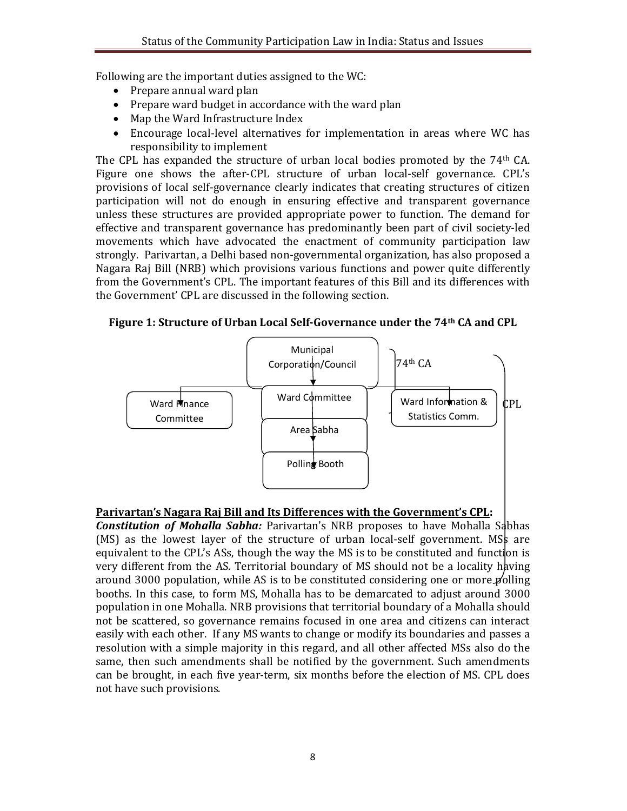Following are the important duties assigned to the WC:

- Prepare annual ward plan
- Prepare ward budget in accordance with the ward plan
- Map the Ward Infrastructure Index
- Encourage local-level alternatives for implementation in areas where WC has responsibility to implement

The CPL has expanded the structure of urban local bodies promoted by the 74<sup>th</sup> CA. Figure one shows the after-CPL structure of urban local-self governance. CPL's provisions of local self-governance clearly indicates that creating structures of citizen participation will not do enough in ensuring effective and transparent governance unless these structures are provided appropriate power to function. The demand for effective and transparent governance has predominantly been part of civil society-led movements which have advocated the enactment of community participation law strongly. Parivartan, a Delhi based non-governmental organization, has also proposed a Nagara Raj Bill (NRB) which provisions various functions and power quite differently from the Government's CPL. The important features of this Bill and its differences with the Government' CPL are discussed in the following section.

**Figure 1: Structure of Urban Local Self-Governance under the 74th CA and CPL**



## **Parivartan's Nagara Raj Bill and Its Differences with the Government's CPL:**

**Constitution of Mohalla Sabha:** Parivartan's NRB proposes to have Mohalla Sabhas (MS) as the lowest layer of the structure of urban local-self government. MSs are equivalent to the CPL's ASs, though the way the MS is to be constituted and function is very different from the AS. Territorial boundary of MS should not be a locality having around 3000 population, while AS is to be constituted considering one or more  $\cancel{p}$  olling booths. In this case, to form MS, Mohalla has to be demarcated to adjust around 3000 population in one Mohalla. NRB provisions that territorial boundary of a Mohalla should not be scattered, so governance remains focused in one area and citizens can interact easily with each other. If any MS wants to change or modify its boundaries and passes a resolution with a simple majority in this regard, and all other affected MSs also do the same, then such amendments shall be notified by the government. Such amendments can be brought, in each five year-term, six months before the election of MS. CPL does not have such provisions.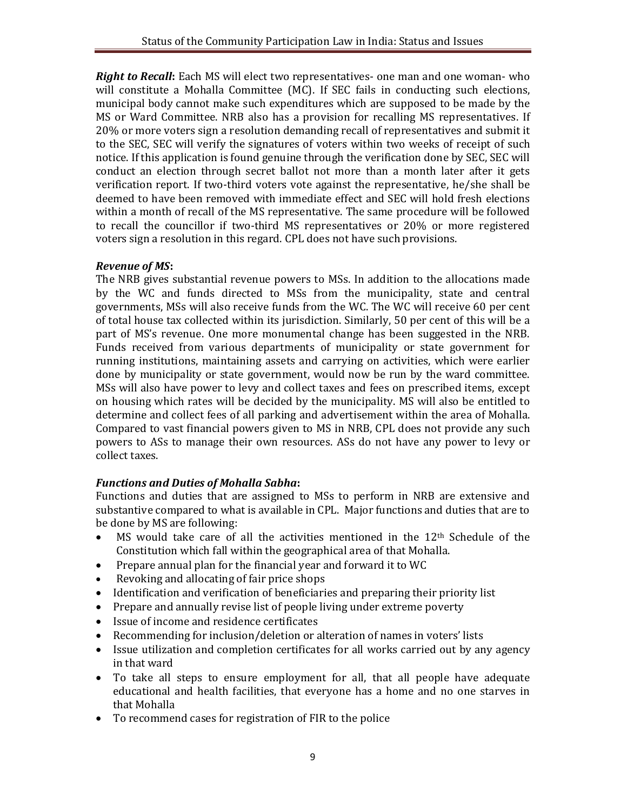*Right to Recall***:** Each MS will elect two representatives- one man and one woman- who will constitute a Mohalla Committee (MC). If SEC fails in conducting such elections, municipal body cannot make such expenditures which are supposed to be made by the MS or Ward Committee. NRB also has a provision for recalling MS representatives. If 20% or more voters sign a resolution demanding recall of representatives and submit it to the SEC, SEC will verify the signatures of voters within two weeks of receipt of such notice. If this application is found genuine through the verification done by SEC, SEC will conduct an election through secret ballot not more than a month later after it gets verification report. If two-third voters vote against the representative, he/she shall be deemed to have been removed with immediate effect and SEC will hold fresh elections within a month of recall of the MS representative. The same procedure will be followed to recall the councillor if two-third MS representatives or 20% or more registered voters sign a resolution in this regard. CPL does not have such provisions.

#### *Revenue of MS***:**

The NRB gives substantial revenue powers to MSs. In addition to the allocations made by the WC and funds directed to MSs from the municipality, state and central governments, MSs will also receive funds from the WC. The WC will receive 60 per cent of total house tax collected within its jurisdiction. Similarly, 50 per cent of this will be a part of MS's revenue. One more monumental change has been suggested in the NRB. Funds received from various departments of municipality or state government for running institutions, maintaining assets and carrying on activities, which were earlier done by municipality or state government, would now be run by the ward committee. MSs will also have power to levy and collect taxes and fees on prescribed items, except on housing which rates will be decided by the municipality. MS will also be entitled to determine and collect fees of all parking and advertisement within the area of Mohalla. Compared to vast financial powers given to MS in NRB, CPL does not provide any such powers to ASs to manage their own resources. ASs do not have any power to levy or collect taxes.

## *Functions and Duties of Mohalla Sabha***:**

Functions and duties that are assigned to MSs to perform in NRB are extensive and substantive compared to what is available in CPL. Major functions and duties that are to be done by MS are following:

- MS would take care of all the activities mentioned in the 12th Schedule of the Constitution which fall within the geographical area of that Mohalla.
- Prepare annual plan for the financial year and forward it to WC
- Revoking and allocating of fair price shops
- Identification and verification of beneficiaries and preparing their priority list
- Prepare and annually revise list of people living under extreme poverty
- Issue of income and residence certificates
- Recommending for inclusion/deletion or alteration of names in voters' lists
- Issue utilization and completion certificates for all works carried out by any agency in that ward
- To take all steps to ensure employment for all, that all people have adequate educational and health facilities, that everyone has a home and no one starves in that Mohalla
- To recommend cases for registration of FIR to the police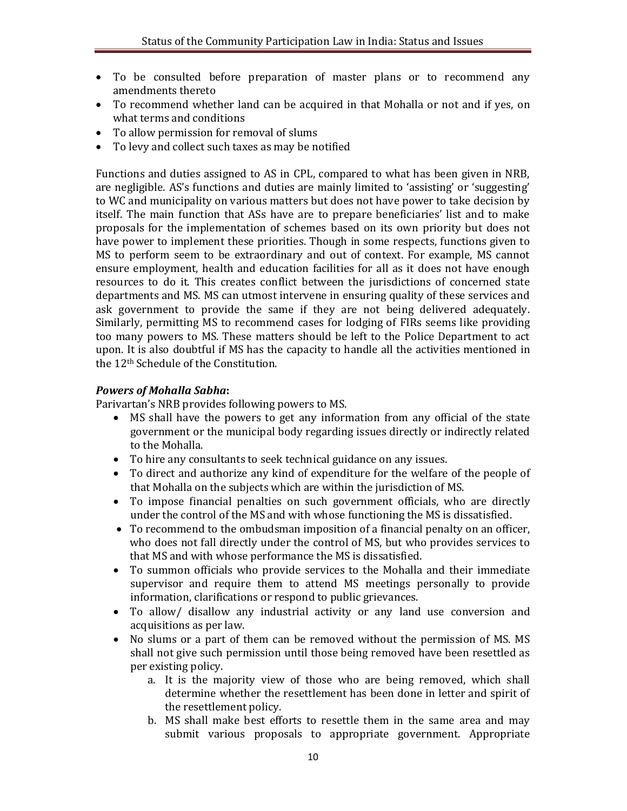- To be consulted before preparation of master plans or to recommend any amendments thereto
- To recommend whether land can be acquired in that Mohalla or not and if yes, on what terms and conditions
- To allow permission for removal of slums
- To levy and collect such taxes as may be notified

Functions and duties assigned to AS in CPL, compared to what has been given in NRB, are negligible. AS's functions and duties are mainly limited to 'assisting' or 'suggesting' to WC and municipality on various matters but does not have power to take decision by itself. The main function that ASs have are to prepare beneficiaries' list and to make proposals for the implementation of schemes based on its own priority but does not have power to implement these priorities. Though in some respects, functions given to MS to perform seem to be extraordinary and out of context. For example, MS cannot ensure employment, health and education facilities for all as it does not have enough resources to do it. This creates conflict between the jurisdictions of concerned state departments and MS. MS can utmost intervene in ensuring quality of these services and ask government to provide the same if they are not being delivered adequately. Similarly, permitting MS to recommend cases for lodging of FIRs seems like providing too many powers to MS. These matters should be left to the Police Department to act upon. It is also doubtful if MS has the capacity to handle all the activities mentioned in the 12th Schedule of the Constitution.

#### *Powers of Mohalla Sabha***:**

Parivartan's NRB provides following powers to MS.

- MS shall have the powers to get any information from any official of the state government or the municipal body regarding issues directly or indirectly related to the Mohalla.
- To hire any consultants to seek technical guidance on any issues.
- To direct and authorize any kind of expenditure for the welfare of the people of that Mohalla on the subjects which are within the jurisdiction of MS.
- To impose financial penalties on such government officials, who are directly under the control of the MS and with whose functioning the MS is dissatisfied.
- To recommend to the ombudsman imposition of a financial penalty on an officer, who does not fall directly under the control of MS, but who provides services to that MS and with whose performance the MS is dissatisfied.
- To summon officials who provide services to the Mohalla and their immediate supervisor and require them to attend MS meetings personally to provide information, clarifications or respond to public grievances.
- To allow/ disallow any industrial activity or any land use conversion and acquisitions as per law.
- No slums or a part of them can be removed without the permission of MS. MS shall not give such permission until those being removed have been resettled as per existing policy.
	- a. It is the majority view of those who are being removed, which shall determine whether the resettlement has been done in letter and spirit of the resettlement policy.
	- b. MS shall make best efforts to resettle them in the same area and may submit various proposals to appropriate government. Appropriate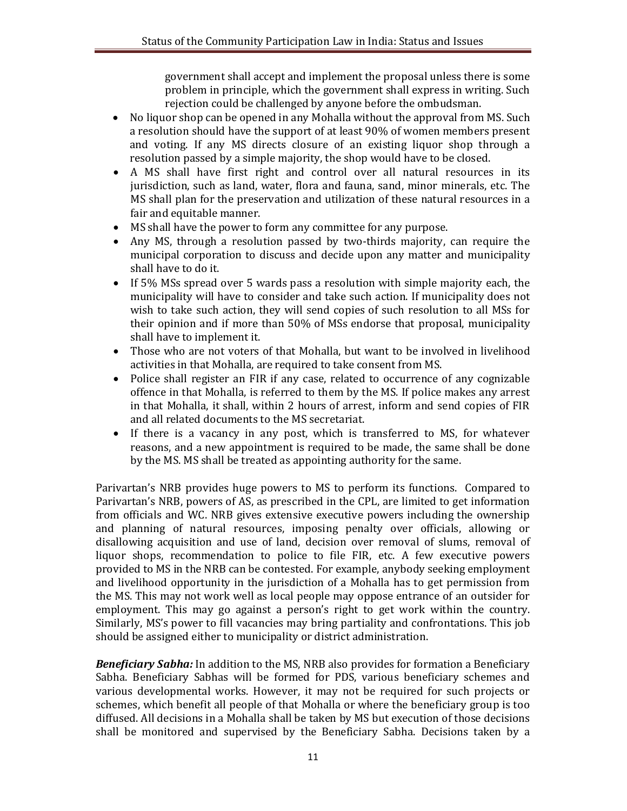government shall accept and implement the proposal unless there is some problem in principle, which the government shall express in writing. Such rejection could be challenged by anyone before the ombudsman.

- No liquor shop can be opened in any Mohalla without the approval from MS. Such a resolution should have the support of at least 90% of women members present and voting. If any MS directs closure of an existing liquor shop through a resolution passed by a simple majority, the shop would have to be closed.
- A MS shall have first right and control over all natural resources in its jurisdiction, such as land, water, flora and fauna, sand, minor minerals, etc. The MS shall plan for the preservation and utilization of these natural resources in a fair and equitable manner.
- MS shall have the power to form any committee for any purpose.
- Any MS, through a resolution passed by two-thirds majority, can require the municipal corporation to discuss and decide upon any matter and municipality shall have to do it.
- If 5% MSs spread over 5 wards pass a resolution with simple majority each, the municipality will have to consider and take such action. If municipality does not wish to take such action, they will send copies of such resolution to all MSs for their opinion and if more than 50% of MSs endorse that proposal, municipality shall have to implement it.
- Those who are not voters of that Mohalla, but want to be involved in livelihood activities in that Mohalla, are required to take consent from MS.
- Police shall register an FIR if any case, related to occurrence of any cognizable offence in that Mohalla, is referred to them by the MS. If police makes any arrest in that Mohalla, it shall, within 2 hours of arrest, inform and send copies of FIR and all related documents to the MS secretariat.
- If there is a vacancy in any post, which is transferred to MS, for whatever reasons, and a new appointment is required to be made, the same shall be done by the MS. MS shall be treated as appointing authority for the same.

Parivartan's NRB provides huge powers to MS to perform its functions. Compared to Parivartan's NRB, powers of AS, as prescribed in the CPL, are limited to get information from officials and WC. NRB gives extensive executive powers including the ownership and planning of natural resources, imposing penalty over officials, allowing or disallowing acquisition and use of land, decision over removal of slums, removal of liquor shops, recommendation to police to file FIR, etc. A few executive powers provided to MS in the NRB can be contested. For example, anybody seeking employment and livelihood opportunity in the jurisdiction of a Mohalla has to get permission from the MS. This may not work well as local people may oppose entrance of an outsider for employment. This may go against a person's right to get work within the country. Similarly, MS's power to fill vacancies may bring partiality and confrontations. This job should be assigned either to municipality or district administration.

*Beneficiary Sabha:* In addition to the MS, NRB also provides for formation a Beneficiary Sabha. Beneficiary Sabhas will be formed for PDS, various beneficiary schemes and various developmental works. However, it may not be required for such projects or schemes, which benefit all people of that Mohalla or where the beneficiary group is too diffused. All decisions in a Mohalla shall be taken by MS but execution of those decisions shall be monitored and supervised by the Beneficiary Sabha. Decisions taken by a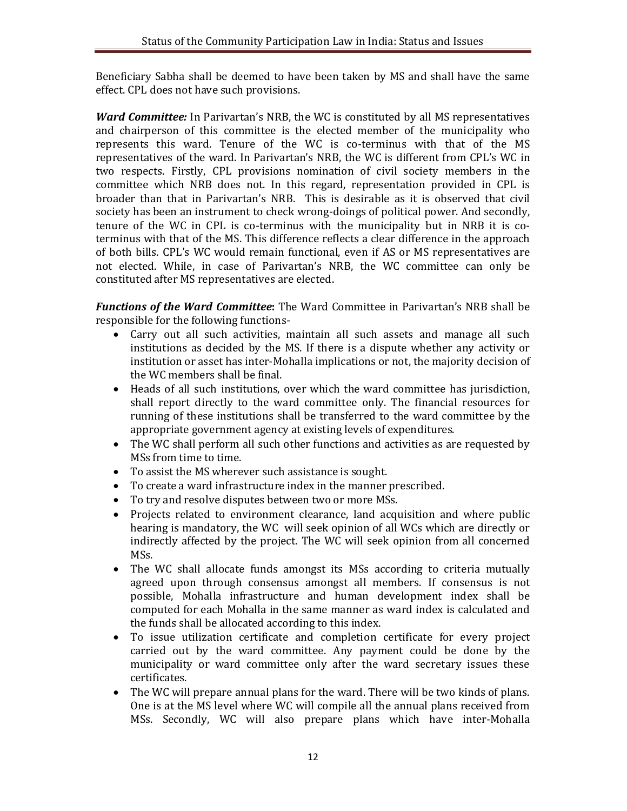Beneficiary Sabha shall be deemed to have been taken by MS and shall have the same effect. CPL does not have such provisions.

*Ward Committee:* In Parivartan's NRB, the WC is constituted by all MS representatives and chairperson of this committee is the elected member of the municipality who represents this ward. Tenure of the WC is co-terminus with that of the MS representatives of the ward. In Parivartan's NRB, the WC is different from CPL's WC in two respects. Firstly, CPL provisions nomination of civil society members in the committee which NRB does not. In this regard, representation provided in CPL is broader than that in Parivartan's NRB. This is desirable as it is observed that civil society has been an instrument to check wrong-doings of political power. And secondly, tenure of the WC in CPL is co-terminus with the municipality but in NRB it is coterminus with that of the MS. This difference reflects a clear difference in the approach of both bills. CPL's WC would remain functional, even if AS or MS representatives are not elected. While, in case of Parivartan's NRB, the WC committee can only be constituted after MS representatives are elected.

*Functions of the Ward Committee***:** The Ward Committee in Parivartan's NRB shall be responsible for the following functions-

- Carry out all such activities, maintain all such assets and manage all such institutions as decided by the MS. If there is a dispute whether any activity or institution or asset has inter-Mohalla implications or not, the majority decision of the WC members shall be final.
- Heads of all such institutions, over which the ward committee has jurisdiction, shall report directly to the ward committee only. The financial resources for running of these institutions shall be transferred to the ward committee by the appropriate government agency at existing levels of expenditures.
- The WC shall perform all such other functions and activities as are requested by MSs from time to time.
- To assist the MS wherever such assistance is sought.
- To create a ward infrastructure index in the manner prescribed.
- To try and resolve disputes between two or more MSs.
- Projects related to environment clearance, land acquisition and where public hearing is mandatory, the WC will seek opinion of all WCs which are directly or indirectly affected by the project. The WC will seek opinion from all concerned MSs.
- The WC shall allocate funds amongst its MSs according to criteria mutually agreed upon through consensus amongst all members. If consensus is not possible, Mohalla infrastructure and human development index shall be computed for each Mohalla in the same manner as ward index is calculated and the funds shall be allocated according to this index.
- To issue utilization certificate and completion certificate for every project carried out by the ward committee. Any payment could be done by the municipality or ward committee only after the ward secretary issues these certificates.
- The WC will prepare annual plans for the ward. There will be two kinds of plans. One is at the MS level where WC will compile all the annual plans received from MSs. Secondly, WC will also prepare plans which have inter-Mohalla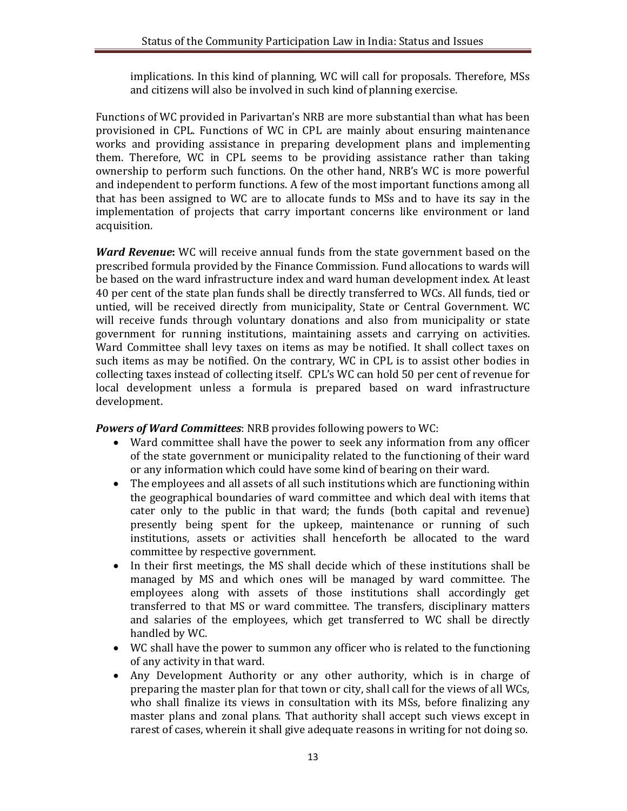implications. In this kind of planning, WC will call for proposals. Therefore, MSs and citizens will also be involved in such kind of planning exercise.

Functions of WC provided in Parivartan's NRB are more substantial than what has been provisioned in CPL. Functions of WC in CPL are mainly about ensuring maintenance works and providing assistance in preparing development plans and implementing them. Therefore, WC in CPL seems to be providing assistance rather than taking ownership to perform such functions. On the other hand, NRB's WC is more powerful and independent to perform functions. A few of the most important functions among all that has been assigned to WC are to allocate funds to MSs and to have its say in the implementation of projects that carry important concerns like environment or land acquisition.

*Ward Revenue***:** WC will receive annual funds from the state government based on the prescribed formula provided by the Finance Commission. Fund allocations to wards will be based on the ward infrastructure index and ward human development index. At least 40 per cent of the state plan funds shall be directly transferred to WCs. All funds, tied or untied, will be received directly from municipality, State or Central Government. WC will receive funds through voluntary donations and also from municipality or state government for running institutions, maintaining assets and carrying on activities. Ward Committee shall levy taxes on items as may be notified. It shall collect taxes on such items as may be notified. On the contrary, WC in CPL is to assist other bodies in collecting taxes instead of collecting itself. CPL's WC can hold 50 per cent of revenue for local development unless a formula is prepared based on ward infrastructure development.

*Powers of Ward Committees*: NRB provides following powers to WC:

- Ward committee shall have the power to seek any information from any officer of the state government or municipality related to the functioning of their ward or any information which could have some kind of bearing on their ward.
- The employees and all assets of all such institutions which are functioning within the geographical boundaries of ward committee and which deal with items that cater only to the public in that ward; the funds (both capital and revenue) presently being spent for the upkeep, maintenance or running of such institutions, assets or activities shall henceforth be allocated to the ward committee by respective government.
- In their first meetings, the MS shall decide which of these institutions shall be managed by MS and which ones will be managed by ward committee. The employees along with assets of those institutions shall accordingly get transferred to that MS or ward committee. The transfers, disciplinary matters and salaries of the employees, which get transferred to WC shall be directly handled by WC.
- WC shall have the power to summon any officer who is related to the functioning of any activity in that ward.
- Any Development Authority or any other authority, which is in charge of preparing the master plan for that town or city, shall call for the views of all WCs, who shall finalize its views in consultation with its MSs, before finalizing any master plans and zonal plans. That authority shall accept such views except in rarest of cases, wherein it shall give adequate reasons in writing for not doing so.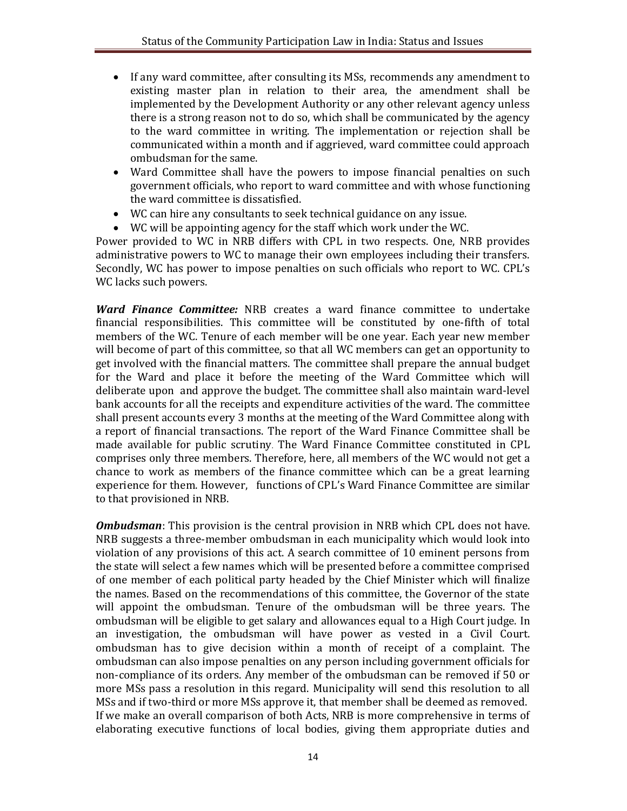- If any ward committee, after consulting its MSs, recommends any amendment to existing master plan in relation to their area, the amendment shall be implemented by the Development Authority or any other relevant agency unless there is a strong reason not to do so, which shall be communicated by the agency to the ward committee in writing. The implementation or rejection shall be communicated within a month and if aggrieved, ward committee could approach ombudsman for the same.
- Ward Committee shall have the powers to impose financial penalties on such government officials, who report to ward committee and with whose functioning the ward committee is dissatisfied.
- WC can hire any consultants to seek technical guidance on any issue.
- WC will be appointing agency for the staff which work under the WC.

Power provided to WC in NRB differs with CPL in two respects. One, NRB provides administrative powers to WC to manage their own employees including their transfers. Secondly, WC has power to impose penalties on such officials who report to WC. CPL's WC lacks such powers.

*Ward Finance Committee:* NRB creates a ward finance committee to undertake financial responsibilities. This committee will be constituted by one-fifth of total members of the WC. Tenure of each member will be one year. Each year new member will become of part of this committee, so that all WC members can get an opportunity to get involved with the financial matters. The committee shall prepare the annual budget for the Ward and place it before the meeting of the Ward Committee which will deliberate upon and approve the budget. The committee shall also maintain ward-level bank accounts for all the receipts and expenditure activities of the ward. The committee shall present accounts every 3 months at the meeting of the Ward Committee along with a report of financial transactions. The report of the Ward Finance Committee shall be made available for public scrutiny. The Ward Finance Committee constituted in CPL comprises only three members. Therefore, here, all members of the WC would not get a chance to work as members of the finance committee which can be a great learning experience for them. However, functions of CPL's Ward Finance Committee are similar to that provisioned in NRB.

*Ombudsman*: This provision is the central provision in NRB which CPL does not have. NRB suggests a three-member ombudsman in each municipality which would look into violation of any provisions of this act. A search committee of 10 eminent persons from the state will select a few names which will be presented before a committee comprised of one member of each political party headed by the Chief Minister which will finalize the names. Based on the recommendations of this committee, the Governor of the state will appoint the ombudsman. Tenure of the ombudsman will be three years. The ombudsman will be eligible to get salary and allowances equal to a High Court judge. In an investigation, the ombudsman will have power as vested in a Civil Court. ombudsman has to give decision within a month of receipt of a complaint. The ombudsman can also impose penalties on any person including government officials for non-compliance of its orders. Any member of the ombudsman can be removed if 50 or more MSs pass a resolution in this regard. Municipality will send this resolution to all MSs and if two-third or more MSs approve it, that member shall be deemed as removed. If we make an overall comparison of both Acts, NRB is more comprehensive in terms of elaborating executive functions of local bodies, giving them appropriate duties and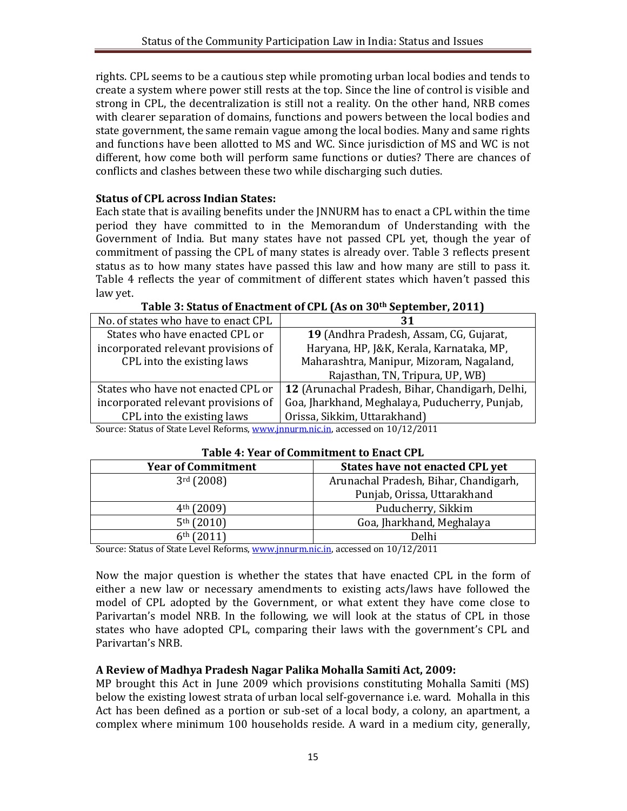rights. CPL seems to be a cautious step while promoting urban local bodies and tends to create a system where power still rests at the top. Since the line of control is visible and strong in CPL, the decentralization is still not a reality. On the other hand, NRB comes with clearer separation of domains, functions and powers between the local bodies and state government, the same remain vague among the local bodies. Many and same rights and functions have been allotted to MS and WC. Since jurisdiction of MS and WC is not different, how come both will perform same functions or duties? There are chances of conflicts and clashes between these two while discharging such duties.

### **Status of CPL across Indian States:**

Each state that is availing benefits under the JNNURM has to enact a CPL within the time period they have committed to in the Memorandum of Understanding with the Government of India. But many states have not passed CPL yet, though the year of commitment of passing the CPL of many states is already over. Table 3 reflects present status as to how many states have passed this law and how many are still to pass it. Table 4 reflects the year of commitment of different states which haven't passed this law yet.

| No. of states who have to enact CPL                                         | 31                                               |  |
|-----------------------------------------------------------------------------|--------------------------------------------------|--|
| States who have enacted CPL or                                              | 19 (Andhra Pradesh, Assam, CG, Gujarat,          |  |
| incorporated relevant provisions of                                         | Haryana, HP, J&K, Kerala, Karnataka, MP,         |  |
| CPL into the existing laws                                                  | Maharashtra, Manipur, Mizoram, Nagaland,         |  |
|                                                                             | Rajasthan, TN, Tripura, UP, WB)                  |  |
| States who have not enacted CPL or                                          | 12 (Arunachal Pradesh, Bihar, Chandigarh, Delhi, |  |
| incorporated relevant provisions of                                         | Goa, Jharkhand, Meghalaya, Puducherry, Punjab,   |  |
| CPL into the existing laws                                                  | Orissa, Sikkim, Uttarakhand)                     |  |
| Course Ctatus of Ctate Lavel Deferme www.innumericin essessed on 10/12/2011 |                                                  |  |

| Table 3: Status of Enactment of CPL (As on 30th September, 2011) |  |
|------------------------------------------------------------------|--|
|------------------------------------------------------------------|--|

Source: Status of State Level Reforms, www.jnnurm.nic.in, accessed on 10/12/2011

| Table +. Teal of commitment to Enact GL E |                                       |  |
|-------------------------------------------|---------------------------------------|--|
| <b>Year of Commitment</b>                 | States have not enacted CPL yet       |  |
| 3 <sup>rd</sup> (2008)                    | Arunachal Pradesh, Bihar, Chandigarh, |  |
|                                           | Punjab, Orissa, Uttarakhand           |  |
| $4th$ (2009)                              | Puducherry, Sikkim                    |  |
| 5 <sup>th</sup> (2010)                    | Goa, Jharkhand, Meghalaya             |  |
| 6 <sup>th</sup> (2011)                    | Delhi                                 |  |

#### **Table 4: Year of Commitment to Enact CPL**

Source: Status of State Level Reforms, www.jnnurm.nic.in, accessed on 10/12/2011

Now the major question is whether the states that have enacted CPL in the form of either a new law or necessary amendments to existing acts/laws have followed the model of CPL adopted by the Government, or what extent they have come close to Parivartan's model NRB. In the following, we will look at the status of CPL in those states who have adopted CPL, comparing their laws with the government's CPL and Parivartan's NRB.

#### **A Review of Madhya Pradesh Nagar Palika Mohalla Samiti Act, 2009:**

MP brought this Act in June 2009 which provisions constituting Mohalla Samiti (MS) below the existing lowest strata of urban local self-governance i.e. ward. Mohalla in this Act has been defined as a portion or sub-set of a local body, a colony, an apartment, a complex where minimum 100 households reside. A ward in a medium city, generally,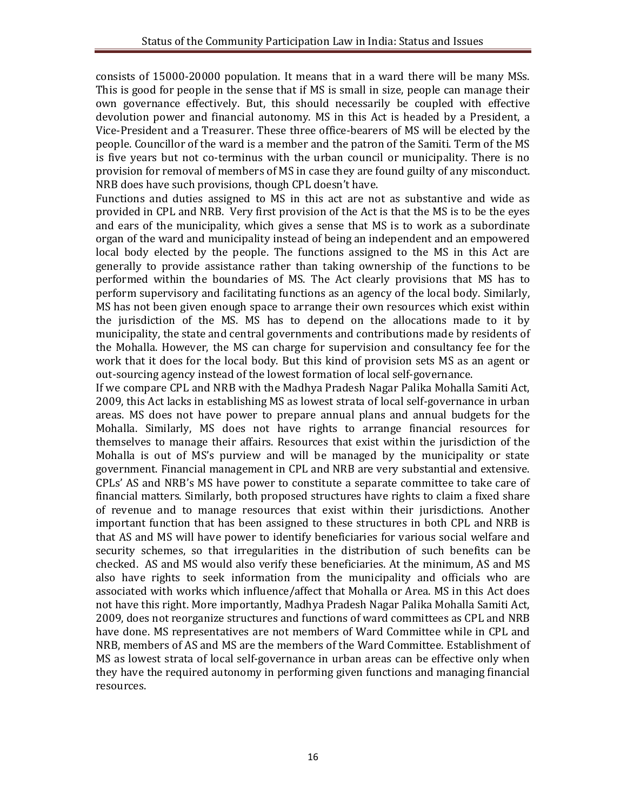consists of 15000-20000 population. It means that in a ward there will be many MSs. This is good for people in the sense that if MS is small in size, people can manage their own governance effectively. But, this should necessarily be coupled with effective devolution power and financial autonomy. MS in this Act is headed by a President, a Vice-President and a Treasurer. These three office-bearers of MS will be elected by the people. Councillor of the ward is a member and the patron of the Samiti. Term of the MS is five years but not co-terminus with the urban council or municipality. There is no provision for removal of members of MS in case they are found guilty of any misconduct. NRB does have such provisions, though CPL doesn't have.

Functions and duties assigned to MS in this act are not as substantive and wide as provided in CPL and NRB. Very first provision of the Act is that the MS is to be the eyes and ears of the municipality, which gives a sense that MS is to work as a subordinate organ of the ward and municipality instead of being an independent and an empowered local body elected by the people. The functions assigned to the MS in this Act are generally to provide assistance rather than taking ownership of the functions to be performed within the boundaries of MS. The Act clearly provisions that MS has to perform supervisory and facilitating functions as an agency of the local body. Similarly, MS has not been given enough space to arrange their own resources which exist within the jurisdiction of the MS. MS has to depend on the allocations made to it by municipality, the state and central governments and contributions made by residents of the Mohalla. However, the MS can charge for supervision and consultancy fee for the work that it does for the local body. But this kind of provision sets MS as an agent or out-sourcing agency instead of the lowest formation of local self-governance.

If we compare CPL and NRB with the Madhya Pradesh Nagar Palika Mohalla Samiti Act, 2009, this Act lacks in establishing MS as lowest strata of local self-governance in urban areas. MS does not have power to prepare annual plans and annual budgets for the Mohalla. Similarly, MS does not have rights to arrange financial resources for themselves to manage their affairs. Resources that exist within the jurisdiction of the Mohalla is out of MS's purview and will be managed by the municipality or state government. Financial management in CPL and NRB are very substantial and extensive. CPLs' AS and NRB's MS have power to constitute a separate committee to take care of financial matters. Similarly, both proposed structures have rights to claim a fixed share of revenue and to manage resources that exist within their jurisdictions. Another important function that has been assigned to these structures in both CPL and NRB is that AS and MS will have power to identify beneficiaries for various social welfare and security schemes, so that irregularities in the distribution of such benefits can be checked. AS and MS would also verify these beneficiaries. At the minimum, AS and MS also have rights to seek information from the municipality and officials who are associated with works which influence/affect that Mohalla or Area. MS in this Act does not have this right. More importantly, Madhya Pradesh Nagar Palika Mohalla Samiti Act, 2009, does not reorganize structures and functions of ward committees as CPL and NRB have done. MS representatives are not members of Ward Committee while in CPL and NRB, members of AS and MS are the members of the Ward Committee. Establishment of MS as lowest strata of local self-governance in urban areas can be effective only when they have the required autonomy in performing given functions and managing financial resources.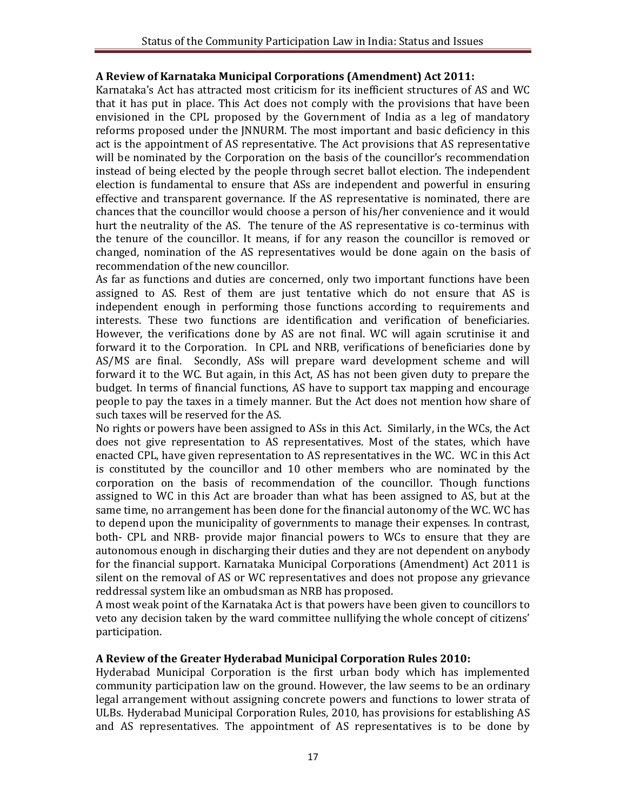### **A Review of Karnataka Municipal Corporations (Amendment) Act 2011:**

Karnataka's Act has attracted most criticism for its inefficient structures of AS and WC that it has put in place. This Act does not comply with the provisions that have been envisioned in the CPL proposed by the Government of India as a leg of mandatory reforms proposed under the JNNURM. The most important and basic deficiency in this act is the appointment of AS representative. The Act provisions that AS representative will be nominated by the Corporation on the basis of the councillor's recommendation instead of being elected by the people through secret ballot election. The independent election is fundamental to ensure that ASs are independent and powerful in ensuring effective and transparent governance. If the AS representative is nominated, there are chances that the councillor would choose a person of his/her convenience and it would hurt the neutrality of the AS. The tenure of the AS representative is co-terminus with the tenure of the councillor. It means, if for any reason the councillor is removed or changed, nomination of the AS representatives would be done again on the basis of recommendation of the new councillor.

As far as functions and duties are concerned, only two important functions have been assigned to AS. Rest of them are just tentative which do not ensure that AS is independent enough in performing those functions according to requirements and interests. These two functions are identification and verification of beneficiaries. However, the verifications done by AS are not final. WC will again scrutinise it and forward it to the Corporation. In CPL and NRB, verifications of beneficiaries done by AS/MS are final. Secondly, ASs will prepare ward development scheme and will forward it to the WC. But again, in this Act, AS has not been given duty to prepare the budget. In terms of financial functions, AS have to support tax mapping and encourage people to pay the taxes in a timely manner. But the Act does not mention how share of such taxes will be reserved for the AS.

No rights or powers have been assigned to ASs in this Act. Similarly, in the WCs, the Act does not give representation to AS representatives. Most of the states, which have enacted CPL, have given representation to AS representatives in the WC. WC in this Act is constituted by the councillor and 10 other members who are nominated by the corporation on the basis of recommendation of the councillor. Though functions assigned to WC in this Act are broader than what has been assigned to AS, but at the same time, no arrangement has been done for the financial autonomy of the WC. WC has to depend upon the municipality of governments to manage their expenses. In contrast, both- CPL and NRB- provide major financial powers to WCs to ensure that they are autonomous enough in discharging their duties and they are not dependent on anybody for the financial support. Karnataka Municipal Corporations (Amendment) Act 2011 is silent on the removal of AS or WC representatives and does not propose any grievance reddressal system like an ombudsman as NRB has proposed.

A most weak point of the Karnataka Act is that powers have been given to councillors to veto any decision taken by the ward committee nullifying the whole concept of citizens' participation.

#### **A Review of the Greater Hyderabad Municipal Corporation Rules 2010:**

Hyderabad Municipal Corporation is the first urban body which has implemented community participation law on the ground. However, the law seems to be an ordinary legal arrangement without assigning concrete powers and functions to lower strata of ULBs. Hyderabad Municipal Corporation Rules, 2010, has provisions for establishing AS and AS representatives. The appointment of AS representatives is to be done by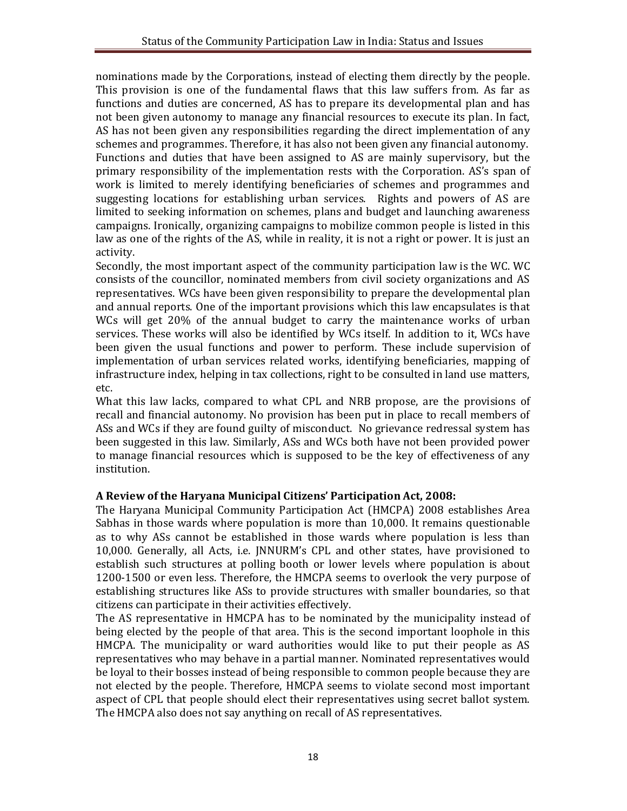nominations made by the Corporations, instead of electing them directly by the people. This provision is one of the fundamental flaws that this law suffers from. As far as functions and duties are concerned, AS has to prepare its developmental plan and has not been given autonomy to manage any financial resources to execute its plan. In fact, AS has not been given any responsibilities regarding the direct implementation of any schemes and programmes. Therefore, it has also not been given any financial autonomy. Functions and duties that have been assigned to AS are mainly supervisory, but the primary responsibility of the implementation rests with the Corporation. AS's span of work is limited to merely identifying beneficiaries of schemes and programmes and suggesting locations for establishing urban services. Rights and powers of AS are limited to seeking information on schemes, plans and budget and launching awareness campaigns. Ironically, organizing campaigns to mobilize common people is listed in this law as one of the rights of the AS, while in reality, it is not a right or power. It is just an activity.

Secondly, the most important aspect of the community participation law is the WC. WC consists of the councillor, nominated members from civil society organizations and AS representatives. WCs have been given responsibility to prepare the developmental plan and annual reports. One of the important provisions which this law encapsulates is that WCs will get 20% of the annual budget to carry the maintenance works of urban services. These works will also be identified by WCs itself. In addition to it, WCs have been given the usual functions and power to perform. These include supervision of implementation of urban services related works, identifying beneficiaries, mapping of infrastructure index, helping in tax collections, right to be consulted in land use matters, etc.

What this law lacks, compared to what CPL and NRB propose, are the provisions of recall and financial autonomy. No provision has been put in place to recall members of ASs and WCs if they are found guilty of misconduct. No grievance redressal system has been suggested in this law. Similarly, ASs and WCs both have not been provided power to manage financial resources which is supposed to be the key of effectiveness of any institution.

## **A Review of the Haryana Municipal Citizens' Participation Act, 2008:**

The Haryana Municipal Community Participation Act (HMCPA) 2008 establishes Area Sabhas in those wards where population is more than 10,000. It remains questionable as to why ASs cannot be established in those wards where population is less than 10,000. Generally, all Acts, i.e. JNNURM's CPL and other states, have provisioned to establish such structures at polling booth or lower levels where population is about 1200-1500 or even less. Therefore, the HMCPA seems to overlook the very purpose of establishing structures like ASs to provide structures with smaller boundaries, so that citizens can participate in their activities effectively.

The AS representative in HMCPA has to be nominated by the municipality instead of being elected by the people of that area. This is the second important loophole in this HMCPA. The municipality or ward authorities would like to put their people as AS representatives who may behave in a partial manner. Nominated representatives would be loyal to their bosses instead of being responsible to common people because they are not elected by the people. Therefore, HMCPA seems to violate second most important aspect of CPL that people should elect their representatives using secret ballot system. The HMCPA also does not say anything on recall of AS representatives.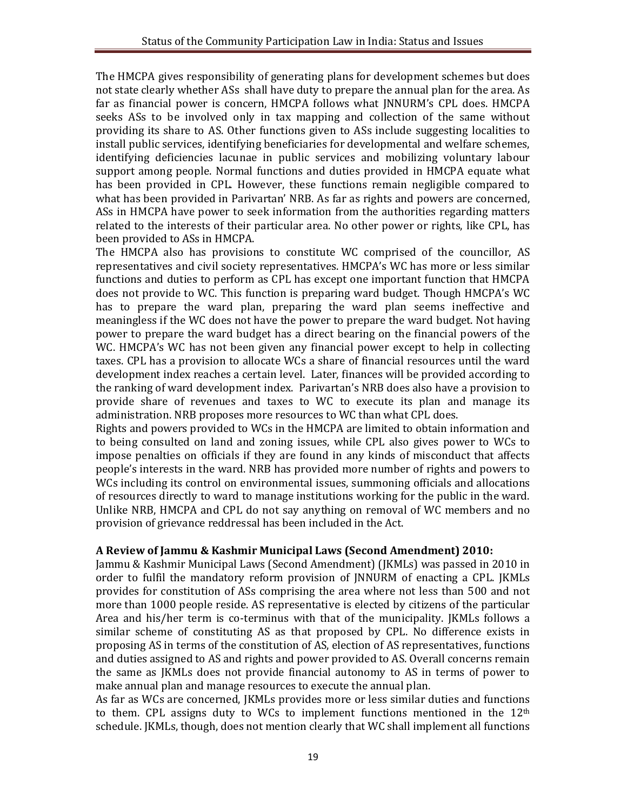The HMCPA gives responsibility of generating plans for development schemes but does not state clearly whether ASs shall have duty to prepare the annual plan for the area. As far as financial power is concern, HMCPA follows what JNNURM's CPL does. HMCPA seeks ASs to be involved only in tax mapping and collection of the same without providing its share to AS. Other functions given to ASs include suggesting localities to install public services, identifying beneficiaries for developmental and welfare schemes, identifying deficiencies lacunae in public services and mobilizing voluntary labour support among people. Normal functions and duties provided in HMCPA equate what has been provided in CPL. However, these functions remain negligible compared to what has been provided in Parivartan' NRB. As far as rights and powers are concerned, ASs in HMCPA have power to seek information from the authorities regarding matters related to the interests of their particular area. No other power or rights, like CPL, has been provided to ASs in HMCPA.

The HMCPA also has provisions to constitute WC comprised of the councillor, AS representatives and civil society representatives. HMCPA's WC has more or less similar functions and duties to perform as CPL has except one important function that HMCPA does not provide to WC. This function is preparing ward budget. Though HMCPA's WC has to prepare the ward plan, preparing the ward plan seems ineffective and meaningless if the WC does not have the power to prepare the ward budget. Not having power to prepare the ward budget has a direct bearing on the financial powers of the WC. HMCPA's WC has not been given any financial power except to help in collecting taxes. CPL has a provision to allocate WCs a share of financial resources until the ward development index reaches a certain level. Later, finances will be provided according to the ranking of ward development index. Parivartan's NRB does also have a provision to provide share of revenues and taxes to WC to execute its plan and manage its administration. NRB proposes more resources to WC than what CPL does.

Rights and powers provided to WCs in the HMCPA are limited to obtain information and to being consulted on land and zoning issues, while CPL also gives power to WCs to impose penalties on officials if they are found in any kinds of misconduct that affects people's interests in the ward. NRB has provided more number of rights and powers to WCs including its control on environmental issues, summoning officials and allocations of resources directly to ward to manage institutions working for the public in the ward. Unlike NRB, HMCPA and CPL do not say anything on removal of WC members and no provision of grievance reddressal has been included in the Act.

#### **A Review of Jammu & Kashmir Municipal Laws (Second Amendment) 2010:**

Jammu & Kashmir Municipal Laws (Second Amendment) (JKMLs) was passed in 2010 in order to fulfil the mandatory reform provision of JNNURM of enacting a CPL. JKMLs provides for constitution of ASs comprising the area where not less than 500 and not more than 1000 people reside. AS representative is elected by citizens of the particular Area and his/her term is co-terminus with that of the municipality. JKMLs follows a similar scheme of constituting AS as that proposed by CPL. No difference exists in proposing AS in terms of the constitution of AS, election of AS representatives, functions and duties assigned to AS and rights and power provided to AS. Overall concerns remain the same as JKMLs does not provide financial autonomy to AS in terms of power to make annual plan and manage resources to execute the annual plan.

As far as WCs are concerned, JKMLs provides more or less similar duties and functions to them. CPL assigns duty to WCs to implement functions mentioned in the  $12<sup>th</sup>$ schedule. JKMLs, though, does not mention clearly that WC shall implement all functions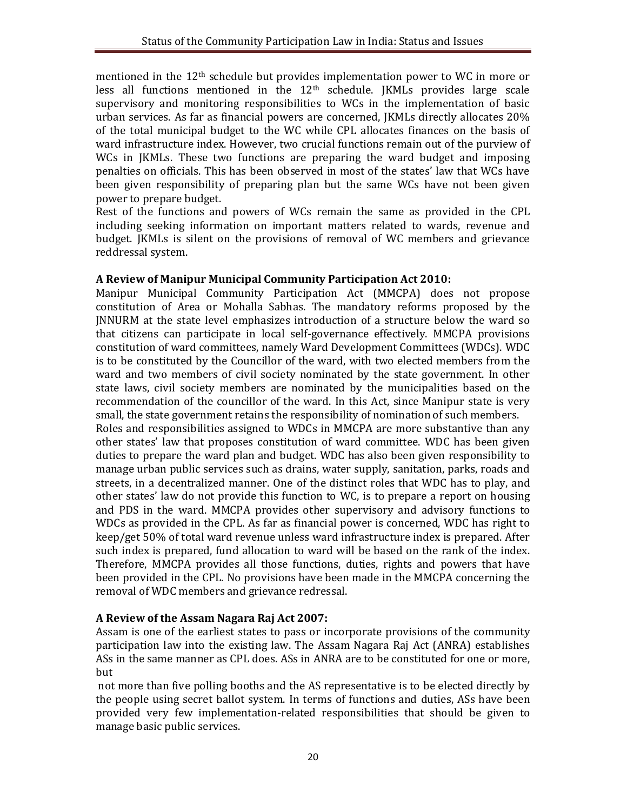mentioned in the 12th schedule but provides implementation power to WC in more or less all functions mentioned in the  $12<sup>th</sup>$  schedule. JKMLs provides large scale supervisory and monitoring responsibilities to WCs in the implementation of basic urban services. As far as financial powers are concerned, JKMLs directly allocates 20% of the total municipal budget to the WC while CPL allocates finances on the basis of ward infrastructure index. However, two crucial functions remain out of the purview of WCs in JKMLs. These two functions are preparing the ward budget and imposing penalties on officials. This has been observed in most of the states' law that WCs have been given responsibility of preparing plan but the same WCs have not been given power to prepare budget.

Rest of the functions and powers of WCs remain the same as provided in the CPL including seeking information on important matters related to wards, revenue and budget. JKMLs is silent on the provisions of removal of WC members and grievance reddressal system.

#### **A Review of Manipur Municipal Community Participation Act 2010:**

Manipur Municipal Community Participation Act (MMCPA) does not propose constitution of Area or Mohalla Sabhas. The mandatory reforms proposed by the JNNURM at the state level emphasizes introduction of a structure below the ward so that citizens can participate in local self-governance effectively. MMCPA provisions constitution of ward committees, namely Ward Development Committees (WDCs). WDC is to be constituted by the Councillor of the ward, with two elected members from the ward and two members of civil society nominated by the state government. In other state laws, civil society members are nominated by the municipalities based on the recommendation of the councillor of the ward. In this Act, since Manipur state is very small, the state government retains the responsibility of nomination of such members.

Roles and responsibilities assigned to WDCs in MMCPA are more substantive than any other states' law that proposes constitution of ward committee. WDC has been given duties to prepare the ward plan and budget. WDC has also been given responsibility to manage urban public services such as drains, water supply, sanitation, parks, roads and streets, in a decentralized manner. One of the distinct roles that WDC has to play, and other states' law do not provide this function to WC, is to prepare a report on housing and PDS in the ward. MMCPA provides other supervisory and advisory functions to WDCs as provided in the CPL. As far as financial power is concerned, WDC has right to keep/get 50% of total ward revenue unless ward infrastructure index is prepared. After such index is prepared, fund allocation to ward will be based on the rank of the index. Therefore, MMCPA provides all those functions, duties, rights and powers that have been provided in the CPL. No provisions have been made in the MMCPA concerning the removal of WDC members and grievance redressal.

## **A Review of the Assam Nagara Raj Act 2007:**

Assam is one of the earliest states to pass or incorporate provisions of the community participation law into the existing law. The Assam Nagara Raj Act (ANRA) establishes ASs in the same manner as CPL does. ASs in ANRA are to be constituted for one or more, but

not more than five polling booths and the AS representative is to be elected directly by the people using secret ballot system. In terms of functions and duties, ASs have been provided very few implementation-related responsibilities that should be given to manage basic public services.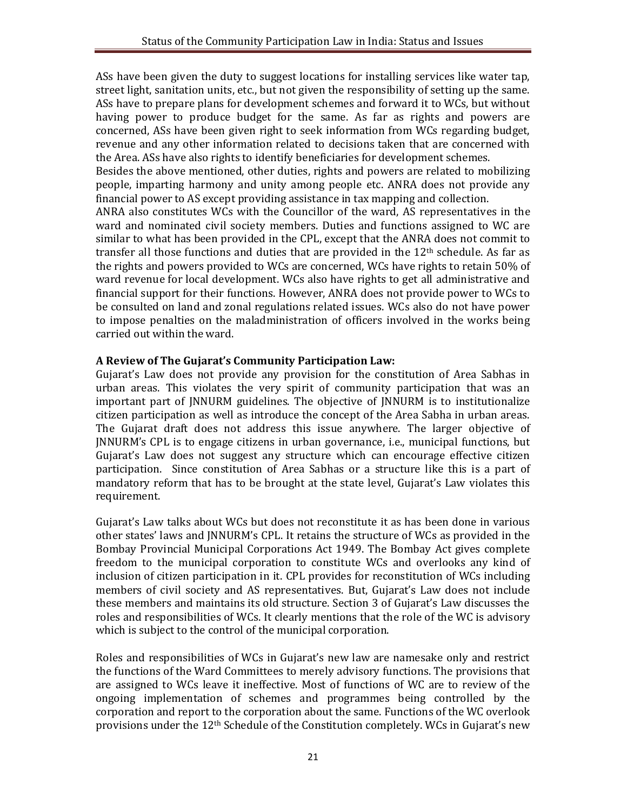ASs have been given the duty to suggest locations for installing services like water tap, street light, sanitation units, etc., but not given the responsibility of setting up the same. ASs have to prepare plans for development schemes and forward it to WCs, but without having power to produce budget for the same. As far as rights and powers are concerned, ASs have been given right to seek information from WCs regarding budget, revenue and any other information related to decisions taken that are concerned with the Area. ASs have also rights to identify beneficiaries for development schemes.

Besides the above mentioned, other duties, rights and powers are related to mobilizing people, imparting harmony and unity among people etc. ANRA does not provide any financial power to AS except providing assistance in tax mapping and collection.

ANRA also constitutes WCs with the Councillor of the ward, AS representatives in the ward and nominated civil society members. Duties and functions assigned to WC are similar to what has been provided in the CPL, except that the ANRA does not commit to transfer all those functions and duties that are provided in the  $12<sup>th</sup>$  schedule. As far as the rights and powers provided to WCs are concerned, WCs have rights to retain 50% of ward revenue for local development. WCs also have rights to get all administrative and financial support for their functions. However, ANRA does not provide power to WCs to be consulted on land and zonal regulations related issues. WCs also do not have power to impose penalties on the maladministration of officers involved in the works being carried out within the ward.

#### **A Review of The Gujarat's Community Participation Law:**

Gujarat's Law does not provide any provision for the constitution of Area Sabhas in urban areas. This violates the very spirit of community participation that was an important part of JNNURM guidelines. The objective of JNNURM is to institutionalize citizen participation as well as introduce the concept of the Area Sabha in urban areas. The Gujarat draft does not address this issue anywhere. The larger objective of JNNURM's CPL is to engage citizens in urban governance, i.e., municipal functions, but Gujarat's Law does not suggest any structure which can encourage effective citizen participation. Since constitution of Area Sabhas or a structure like this is a part of mandatory reform that has to be brought at the state level, Gujarat's Law violates this requirement.

Gujarat's Law talks about WCs but does not reconstitute it as has been done in various other states' laws and JNNURM's CPL. It retains the structure of WCs as provided in the Bombay Provincial Municipal Corporations Act 1949. The Bombay Act gives complete freedom to the municipal corporation to constitute WCs and overlooks any kind of inclusion of citizen participation in it. CPL provides for reconstitution of WCs including members of civil society and AS representatives. But, Gujarat's Law does not include these members and maintains its old structure. Section 3 of Gujarat's Law discusses the roles and responsibilities of WCs. It clearly mentions that the role of the WC is advisory which is subject to the control of the municipal corporation.

Roles and responsibilities of WCs in Gujarat's new law are namesake only and restrict the functions of the Ward Committees to merely advisory functions. The provisions that are assigned to WCs leave it ineffective. Most of functions of WC are to review of the ongoing implementation of schemes and programmes being controlled by the corporation and report to the corporation about the same. Functions of the WC overlook provisions under the 12th Schedule of the Constitution completely. WCs in Gujarat's new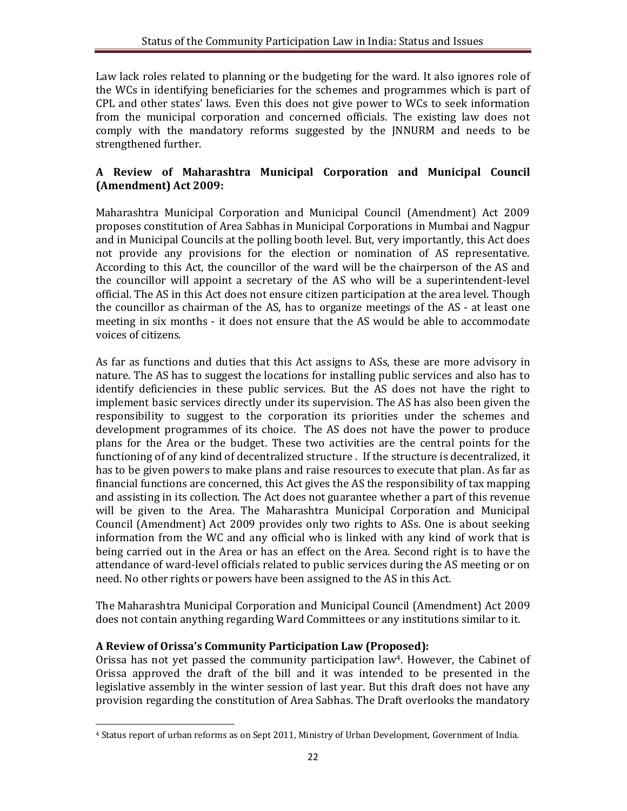Law lack roles related to planning or the budgeting for the ward. It also ignores role of the WCs in identifying beneficiaries for the schemes and programmes which is part of CPL and other states' laws. Even this does not give power to WCs to seek information from the municipal corporation and concerned officials. The existing law does not comply with the mandatory reforms suggested by the JNNURM and needs to be strengthened further.

# **A Review of Maharashtra Municipal Corporation and Municipal Council (Amendment) Act 2009:**

Maharashtra Municipal Corporation and Municipal Council (Amendment) Act 2009 proposes constitution of Area Sabhas in Municipal Corporations in Mumbai and Nagpur and in Municipal Councils at the polling booth level. But, very importantly, this Act does not provide any provisions for the election or nomination of AS representative. According to this Act, the councillor of the ward will be the chairperson of the AS and the councillor will appoint a secretary of the AS who will be a superintendent-level official. The AS in this Act does not ensure citizen participation at the area level. Though the councillor as chairman of the AS, has to organize meetings of the AS - at least one meeting in six months - it does not ensure that the AS would be able to accommodate voices of citizens.

As far as functions and duties that this Act assigns to ASs, these are more advisory in nature. The AS has to suggest the locations for installing public services and also has to identify deficiencies in these public services. But the AS does not have the right to implement basic services directly under its supervision. The AS has also been given the responsibility to suggest to the corporation its priorities under the schemes and development programmes of its choice. The AS does not have the power to produce plans for the Area or the budget. These two activities are the central points for the functioning of of any kind of decentralized structure . If the structure is decentralized, it has to be given powers to make plans and raise resources to execute that plan. As far as financial functions are concerned, this Act gives the AS the responsibility of tax mapping and assisting in its collection. The Act does not guarantee whether a part of this revenue will be given to the Area. The Maharashtra Municipal Corporation and Municipal Council (Amendment) Act 2009 provides only two rights to ASs. One is about seeking information from the WC and any official who is linked with any kind of work that is being carried out in the Area or has an effect on the Area. Second right is to have the attendance of ward-level officials related to public services during the AS meeting or on need. No other rights or powers have been assigned to the AS in this Act.

The Maharashtra Municipal Corporation and Municipal Council (Amendment) Act 2009 does not contain anything regarding Ward Committees or any institutions similar to it.

## **A Review of Orissa's Community Participation Law (Proposed):**

1

Orissa has not yet passed the community participation law<sup>4</sup>. However, the Cabinet of Orissa approved the draft of the bill and it was intended to be presented in the legislative assembly in the winter session of last year. But this draft does not have any provision regarding the constitution of Area Sabhas. The Draft overlooks the mandatory

<sup>4</sup> Status report of urban reforms as on Sept 2011, Ministry of Urban Development, Government of India.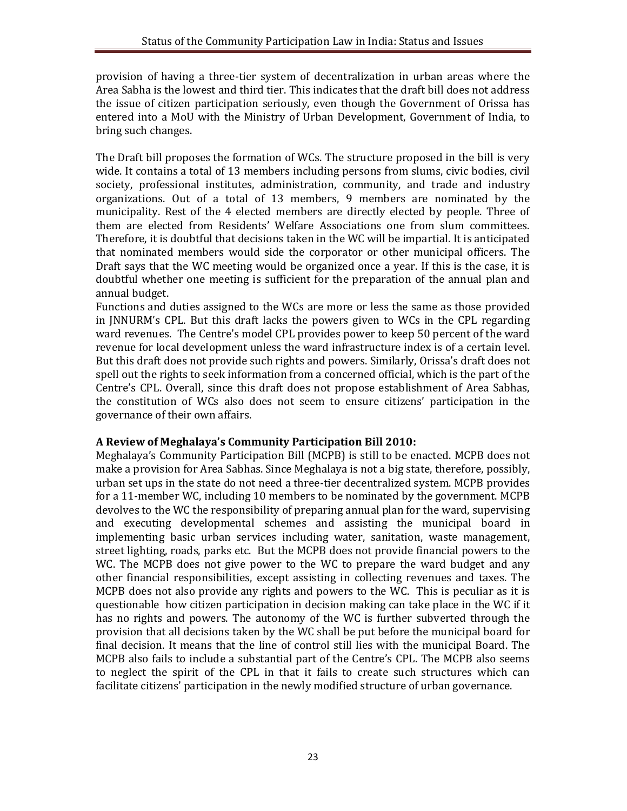provision of having a three-tier system of decentralization in urban areas where the Area Sabha is the lowest and third tier. This indicates that the draft bill does not address the issue of citizen participation seriously, even though the Government of Orissa has entered into a MoU with the Ministry of Urban Development, Government of India, to bring such changes.

The Draft bill proposes the formation of WCs. The structure proposed in the bill is very wide. It contains a total of 13 members including persons from slums, civic bodies, civil society, professional institutes, administration, community, and trade and industry organizations. Out of a total of 13 members, 9 members are nominated by the municipality. Rest of the 4 elected members are directly elected by people. Three of them are elected from Residents' Welfare Associations one from slum committees. Therefore, it is doubtful that decisions taken in the WC will be impartial. It is anticipated that nominated members would side the corporator or other municipal officers. The Draft says that the WC meeting would be organized once a year. If this is the case, it is doubtful whether one meeting is sufficient for the preparation of the annual plan and annual budget.

Functions and duties assigned to the WCs are more or less the same as those provided in JNNURM's CPL. But this draft lacks the powers given to WCs in the CPL regarding ward revenues. The Centre's model CPL provides power to keep 50 percent of the ward revenue for local development unless the ward infrastructure index is of a certain level. But this draft does not provide such rights and powers. Similarly, Orissa's draft does not spell out the rights to seek information from a concerned official, which is the part of the Centre's CPL. Overall, since this draft does not propose establishment of Area Sabhas, the constitution of WCs also does not seem to ensure citizens' participation in the governance of their own affairs.

## **A Review of Meghalaya's Community Participation Bill 2010:**

Meghalaya's Community Participation Bill (MCPB) is still to be enacted. MCPB does not make a provision for Area Sabhas. Since Meghalaya is not a big state, therefore, possibly, urban set ups in the state do not need a three-tier decentralized system. MCPB provides for a 11-member WC, including 10 members to be nominated by the government. MCPB devolves to the WC the responsibility of preparing annual plan for the ward, supervising and executing developmental schemes and assisting the municipal board in implementing basic urban services including water, sanitation, waste management, street lighting, roads, parks etc. But the MCPB does not provide financial powers to the WC. The MCPB does not give power to the WC to prepare the ward budget and any other financial responsibilities, except assisting in collecting revenues and taxes. The MCPB does not also provide any rights and powers to the WC. This is peculiar as it is questionable how citizen participation in decision making can take place in the WC if it has no rights and powers. The autonomy of the WC is further subverted through the provision that all decisions taken by the WC shall be put before the municipal board for final decision. It means that the line of control still lies with the municipal Board. The MCPB also fails to include a substantial part of the Centre's CPL. The MCPB also seems to neglect the spirit of the CPL in that it fails to create such structures which can facilitate citizens' participation in the newly modified structure of urban governance.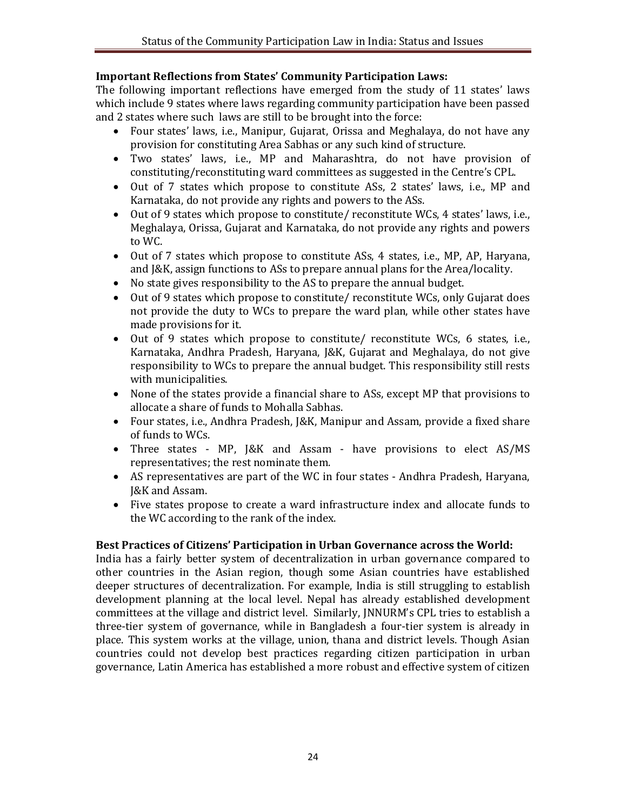### **Important Reflections from States' Community Participation Laws:**

The following important reflections have emerged from the study of 11 states' laws which include 9 states where laws regarding community participation have been passed and 2 states where such laws are still to be brought into the force:

- Four states' laws, i.e., Manipur, Gujarat, Orissa and Meghalaya, do not have any provision for constituting Area Sabhas or any such kind of structure.
- Two states' laws, i.e., MP and Maharashtra, do not have provision of constituting/reconstituting ward committees as suggested in the Centre's CPL.
- Out of 7 states which propose to constitute ASs, 2 states' laws, i.e., MP and Karnataka, do not provide any rights and powers to the ASs.
- Out of 9 states which propose to constitute/ reconstitute WCs, 4 states' laws, i.e., Meghalaya, Orissa, Gujarat and Karnataka, do not provide any rights and powers to WC.
- Out of 7 states which propose to constitute ASs, 4 states, i.e., MP, AP, Haryana, and J&K, assign functions to ASs to prepare annual plans for the Area/locality.
- No state gives responsibility to the AS to prepare the annual budget.
- Out of 9 states which propose to constitute/ reconstitute WCs, only Gujarat does not provide the duty to WCs to prepare the ward plan, while other states have made provisions for it.
- Out of 9 states which propose to constitute/ reconstitute WCs, 6 states, i.e., Karnataka, Andhra Pradesh, Haryana, J&K, Gujarat and Meghalaya, do not give responsibility to WCs to prepare the annual budget. This responsibility still rests with municipalities.
- None of the states provide a financial share to ASs, except MP that provisions to allocate a share of funds to Mohalla Sabhas.
- Four states, i.e., Andhra Pradesh, J&K, Manipur and Assam, provide a fixed share of funds to WCs.
- Three states MP, J&K and Assam have provisions to elect AS/MS representatives; the rest nominate them.
- AS representatives are part of the WC in four states Andhra Pradesh, Haryana, J&K and Assam.
- Five states propose to create a ward infrastructure index and allocate funds to the WC according to the rank of the index.

#### **Best Practices of Citizens' Participation in Urban Governance across the World:**

India has a fairly better system of decentralization in urban governance compared to other countries in the Asian region, though some Asian countries have established deeper structures of decentralization. For example, India is still struggling to establish development planning at the local level. Nepal has already established development committees at the village and district level. Similarly, JNNURM's CPL tries to establish a three-tier system of governance, while in Bangladesh a four-tier system is already in place. This system works at the village, union, thana and district levels. Though Asian countries could not develop best practices regarding citizen participation in urban governance, Latin America has established a more robust and effective system of citizen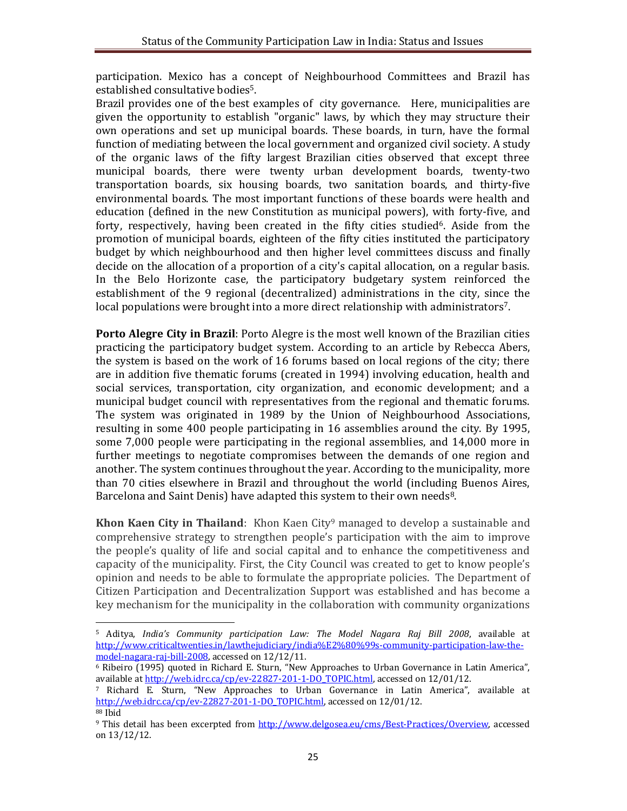participation. Mexico has a concept of Neighbourhood Committees and Brazil has established consultative bodies<sup>5</sup>.

Brazil provides one of the best examples of city governance. Here, municipalities are given the opportunity to establish "organic" laws, by which they may structure their own operations and set up municipal boards. These boards, in turn, have the formal function of mediating between the local government and organized civil society. A study of the organic laws of the fifty largest Brazilian cities observed that except three municipal boards, there were twenty urban development boards, twenty-two transportation boards, six housing boards, two sanitation boards, and thirty-five environmental boards. The most important functions of these boards were health and education (defined in the new Constitution as municipal powers), with forty-five, and forty, respectively, having been created in the fifty cities studied<sup>6</sup>. Aside from the promotion of municipal boards, eighteen of the fifty cities instituted the participatory budget by which neighbourhood and then higher level committees discuss and finally decide on the allocation of a proportion of a city's capital allocation, on a regular basis. In the Belo Horizonte case, the participatory budgetary system reinforced the establishment of the 9 regional (decentralized) administrations in the city, since the local populations were brought into a more direct relationship with administrators<sup>7</sup>.

**Porto Alegre City in Brazil**: Porto Alegre is the most well known of the Brazilian cities practicing the participatory budget system. According to an article by Rebecca Abers, the system is based on the work of 16 forums based on local regions of the city; there are in addition five thematic forums (created in 1994) involving education, health and social services, transportation, city organization, and economic development; and a municipal budget council with representatives from the regional and thematic forums. The system was originated in 1989 by the Union of Neighbourhood Associations, resulting in some 400 people participating in 16 assemblies around the city. By 1995, some 7,000 people were participating in the regional assemblies, and 14,000 more in further meetings to negotiate compromises between the demands of one region and another. The system continues throughout the year. According to the municipality, more than 70 cities elsewhere in Brazil and throughout the world (including Buenos Aires, Barcelona and Saint Denis) have adapted this system to their own needs<sup>8</sup>.

**Khon Kaen City in Thailand**: Khon Kaen City<sup>9</sup> managed to develop a sustainable and comprehensive strategy to strengthen people's participation with the aim to improve the people's quality of life and social capital and to enhance the competitiveness and capacity of the municipality. First, the City Council was created to get to know people's opinion and needs to be able to formulate the appropriate policies. The Department of Citizen Participation and Decentralization Support was established and has become a key mechanism for the municipality in the collaboration with community organizations

<sup>1</sup> <sup>5</sup> Aditya, *India's Community participation Law: The Model Nagara Raj Bill 2008*, available at http://www.criticaltwenties.in/lawthejudiciary/india%E2%80%99s-community-participation-law-themodel-nagara-raj-bill-2008, accessed on 12/12/11.

<sup>6</sup> Ribeiro (1995) quoted in Richard E. Sturn, "New Approaches to Urban Governance in Latin America", available at http://web.idrc.ca/cp/ev-22827-201-1-DO\_TOPIC.html, accessed on 12/01/12.

<sup>7</sup> Richard E. Sturn, "New Approaches to Urban Governance in Latin America", available at http://web.idrc.ca/cp/ev-22827-201-1-DO\_TOPIC.html, accessed on 12/01/12. <sup>88</sup> Ibid

<sup>9</sup> This detail has been excerpted from http://www.delgosea.eu/cms/Best-Practices/Overview, accessed on 13/12/12.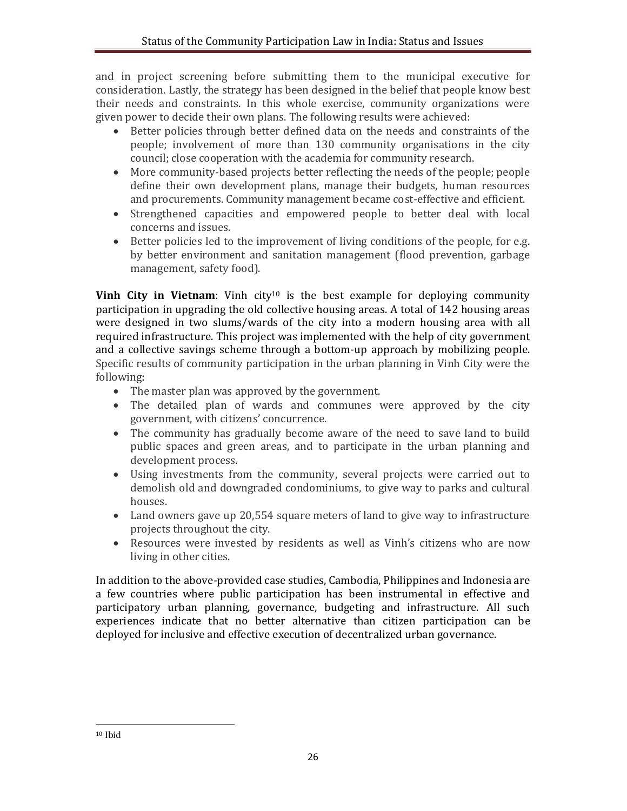and in project screening before submitting them to the municipal executive for consideration. Lastly, the strategy has been designed in the belief that people know best their needs and constraints. In this whole exercise, community organizations were given power to decide their own plans. The following results were achieved:

- Better policies through better defined data on the needs and constraints of the people; involvement of more than 130 community organisations in the city council; close cooperation with the academia for community research.
- More community-based projects better reflecting the needs of the people; people define their own development plans, manage their budgets, human resources and procurements. Community management became cost-effective and efficient.
- Strengthened capacities and empowered people to better deal with local concerns and issues.
- Better policies led to the improvement of living conditions of the people, for e.g. by better environment and sanitation management (flood prevention, garbage management, safety food).

**Vinh City in Vietnam**: Vinh city<sup>10</sup> is the best example for deploying community participation in upgrading the old collective housing areas. A total of 142 housing areas were designed in two slums/wards of the city into a modern housing area with all required infrastructure. This project was implemented with the help of city government and a collective savings scheme through a bottom-up approach by mobilizing people. Specific results of community participation in the urban planning in Vinh City were the following:

- The master plan was approved by the government.
- The detailed plan of wards and communes were approved by the city government, with citizens' concurrence.
- The community has gradually become aware of the need to save land to build public spaces and green areas, and to participate in the urban planning and development process.
- Using investments from the community, several projects were carried out to demolish old and downgraded condominiums, to give way to parks and cultural houses.
- Land owners gave up 20,554 square meters of land to give way to infrastructure projects throughout the city.
- Resources were invested by residents as well as Vinh's citizens who are now living in other cities.

In addition to the above-provided case studies, Cambodia, Philippines and Indonesia are a few countries where public participation has been instrumental in effective and participatory urban planning, governance, budgeting and infrastructure. All such experiences indicate that no better alternative than citizen participation can be deployed for inclusive and effective execution of decentralized urban governance.

<sup>10</sup> Ibid

1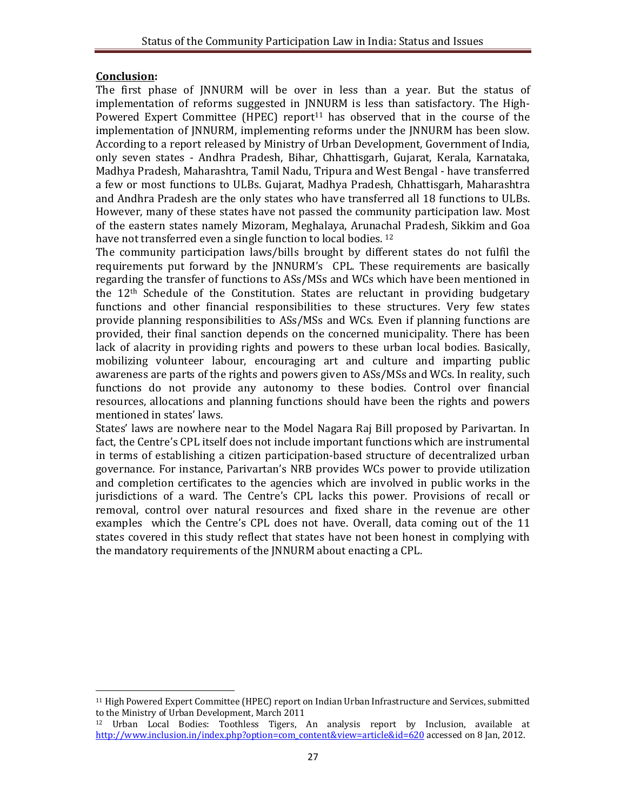### **Conclusion:**

The first phase of JNNURM will be over in less than a year. But the status of implementation of reforms suggested in JNNURM is less than satisfactory. The High-Powered Expert Committee (HPEC) report<sup>11</sup> has observed that in the course of the implementation of JNNURM, implementing reforms under the JNNURM has been slow. According to a report released by Ministry of Urban Development, Government of India, only seven states - Andhra Pradesh, Bihar, Chhattisgarh, Gujarat, Kerala, Karnataka, Madhya Pradesh, Maharashtra, Tamil Nadu, Tripura and West Bengal - have transferred a few or most functions to ULBs. Gujarat, Madhya Pradesh, Chhattisgarh, Maharashtra and Andhra Pradesh are the only states who have transferred all 18 functions to ULBs. However, many of these states have not passed the community participation law. Most of the eastern states namely Mizoram, Meghalaya, Arunachal Pradesh, Sikkim and Goa have not transferred even a single function to local bodies.<sup>12</sup>

The community participation laws/bills brought by different states do not fulfil the requirements put forward by the JNNURM's CPL. These requirements are basically regarding the transfer of functions to ASs/MSs and WCs which have been mentioned in the 12<sup>th</sup> Schedule of the Constitution. States are reluctant in providing budgetary functions and other financial responsibilities to these structures. Very few states provide planning responsibilities to ASs/MSs and WCs. Even if planning functions are provided, their final sanction depends on the concerned municipality. There has been lack of alacrity in providing rights and powers to these urban local bodies. Basically, mobilizing volunteer labour, encouraging art and culture and imparting public awareness are parts of the rights and powers given to ASs/MSs and WCs. In reality, such functions do not provide any autonomy to these bodies. Control over financial resources, allocations and planning functions should have been the rights and powers mentioned in states' laws.

States' laws are nowhere near to the Model Nagara Raj Bill proposed by Parivartan. In fact, the Centre's CPL itself does not include important functions which are instrumental in terms of establishing a citizen participation-based structure of decentralized urban governance. For instance, Parivartan's NRB provides WCs power to provide utilization and completion certificates to the agencies which are involved in public works in the jurisdictions of a ward. The Centre's CPL lacks this power. Provisions of recall or removal, control over natural resources and fixed share in the revenue are other examples which the Centre's CPL does not have. Overall, data coming out of the 11 states covered in this study reflect that states have not been honest in complying with the mandatory requirements of the JNNURM about enacting a CPL.

**<sup>.</sup>** <sup>11</sup> High Powered Expert Committee (HPEC) report on Indian Urban Infrastructure and Services, submitted to the Ministry of Urban Development, March 2011

<sup>12</sup> Urban Local Bodies: Toothless Tigers, An analysis report by Inclusion, available at http://www.inclusion.in/index.php?option=com\_content&view=article&id=620 accessed on 8 Jan, 2012.